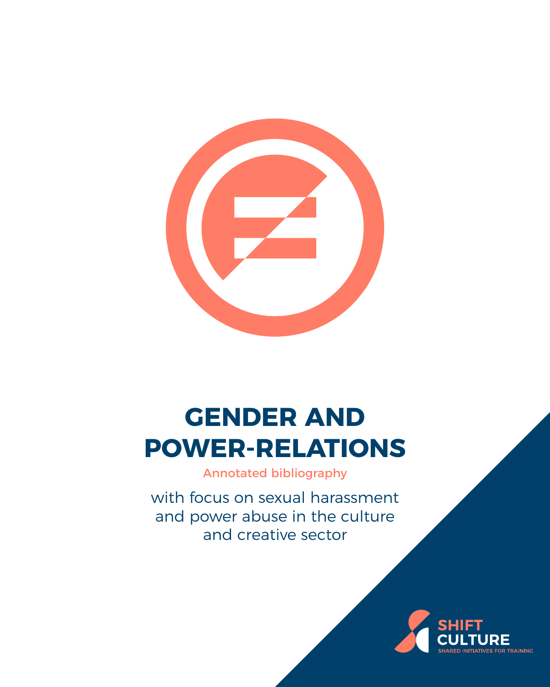

# **GENDER AND POWER-RELATIONS**

Annotated bibliography

with focus on sexual harassment and power abuse in the culture and creative sector

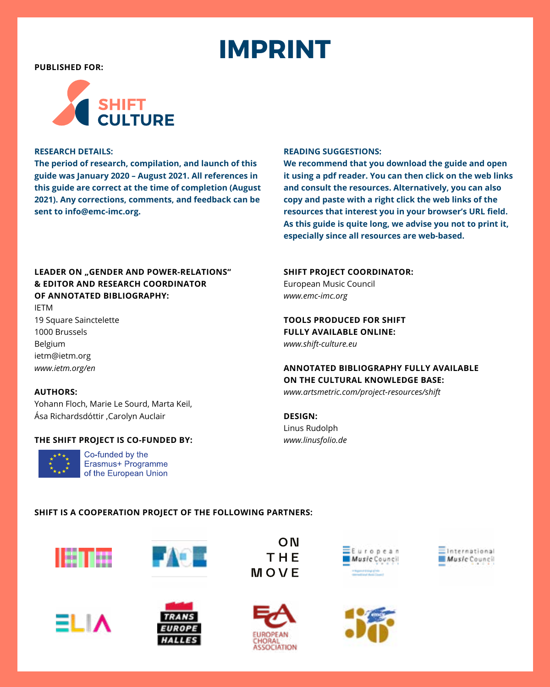# **IMPRINT**

<span id="page-1-0"></span>**PUBLISHED FOR:**



#### **RESEARCH DETAILS:**

**The period of research, compilation, and launch of this guide was January 2020 – August 2021. All references in this guide are correct at the time of completion (August 2021). Any corrections, comments, and feedback can be sent to [info@emc-imc.org](mailto:info%40emc-imc.org?subject=SHIFT%20Environmental%20Sustainability).**

#### **READING SUGGESTIONS:**

**We recommend that you download the guide and open it using a pdf reader. You can then click on the web links and consult the resources. Alternatively, you can also copy and paste with a right click the web links of the resources that interest you in your browser's URL field. As this guide is quite long, we advise you not to print it, especially since all resources are web-based.**

#### **LEADER ON "GENDER AND POWER-RELATIONS" & EDITOR AND RESEARCH COORDINATOR OF ANNOTATED BIBLIOGRAPHY:**

IETM 19 Square Sainctelette 1000 Brussels Belgium ietm@ietm.org *[www.ietm.org/en](https://www.ietm.org/en)*

#### **AUTHORS:**

Yohann Floch, Marie Le Sourd, Marta Keil, Ása Richardsdóttir ,Carolyn Auclair

#### **THE SHIFT PROJECT IS CO-FUNDED BY:**



Co-funded by the Erasmus+ Programme of the European Union

#### **SHIFT PROJECT COORDINATOR:**

European Music Council *[www.emc-imc.org](http://www.emc-imc.org)*

**TOOLS PRODUCED FOR SHIFT FULLY AVAILABLE ONLINE:** *[www.shift-culture.eu](http://www.shift-culture.eu)*

#### **ANNOTATED BIBLIOGRAPHY FULLY AVAILABLE ON THE CULTURAL KNOWLEDGE BASE:**

*[www.artsmetric.com/project-resources/shift](http://www.artsmetric.com/project-resources/shift)*

**DESIGN:** Linus Rudolph *[www.linusfolio.de](http://www.linusfolio.de)*

#### **SHIFT IS A COOPERATION PROJECT OF THE FOLLOWING PARTNERS:**







**FAGE** 









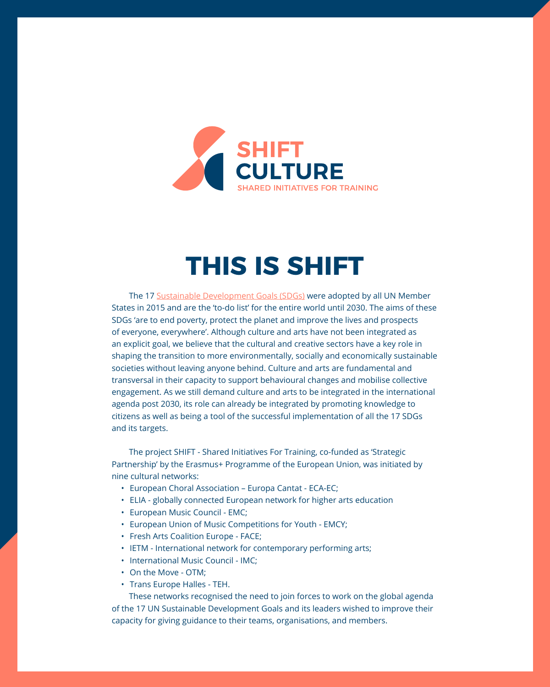<span id="page-2-0"></span>

## **THIS IS SHIFT**

The 17 [Sustainable Development Goals \(SDGs\)](https://www.un.org/sustainabledevelopment/development-agenda/) were adopted by all UN Member States in 2015 and are the 'to-do list' for the entire world until 2030. The aims of these SDGs 'are to end poverty, protect the planet and improve the lives and prospects of everyone, everywhere'. Although culture and arts have not been integrated as an explicit goal, we believe that the cultural and creative sectors have a key role in shaping the transition to more environmentally, socially and economically sustainable societies without leaving anyone behind. Culture and arts are fundamental and transversal in their capacity to support behavioural changes and mobilise collective engagement. As we still demand culture and arts to be integrated in the international agenda post 2030, its role can already be integrated by promoting knowledge to citizens as well as being a tool of the successful implementation of all the 17 SDGs and its targets.

The project SHIFT - Shared Initiatives For Training, co-funded as 'Strategic Partnership' by the Erasmus+ Programme of the European Union, was initiated by nine cultural networks:

- European Choral Association Europa Cantat ECA-EC;
- ELIA globally connected European network for higher arts education
- European Music Council EMC;
- European Union of Music Competitions for Youth EMCY;
- Fresh Arts Coalition Europe FACE;
- IETM International network for contemporary performing arts;
- International Music Council IMC;
- On the Move OTM;
- Trans Europe Halles TEH.

These networks recognised the need to join forces to work on the global agenda of the 17 UN Sustainable Development Goals and its leaders wished to improve their capacity for giving guidance to their teams, organisations, and members.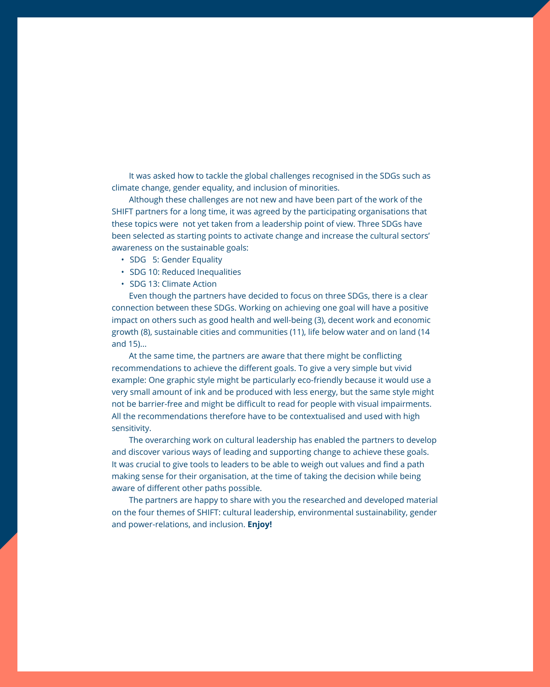It was asked how to tackle the global challenges recognised in the SDGs such as climate change, gender equality, and inclusion of minorities.

Although these challenges are not new and have been part of the work of the SHIFT partners for a long time, it was agreed by the participating organisations that these topics were not yet taken from a leadership point of view. Three SDGs have been selected as starting points to activate change and increase the cultural sectors' awareness on the sustainable goals:

- SDG 5: Gender Equality
- SDG 10: Reduced Inequalities
- SDG 13: Climate Action

Even though the partners have decided to focus on three SDGs, there is a clear connection between these SDGs. Working on achieving one goal will have a positive impact on others such as good health and well-being (3), decent work and economic growth (8), sustainable cities and communities (11), life below water and on land (14 and 15)...

At the same time, the partners are aware that there might be conflicting recommendations to achieve the different goals. To give a very simple but vivid example: One graphic style might be particularly eco-friendly because it would use a very small amount of ink and be produced with less energy, but the same style might not be barrier-free and might be difficult to read for people with visual impairments. All the recommendations therefore have to be contextualised and used with high sensitivity.

The overarching work on cultural leadership has enabled the partners to develop and discover various ways of leading and supporting change to achieve these goals. It was crucial to give tools to leaders to be able to weigh out values and find a path making sense for their organisation, at the time of taking the decision while being aware of different other paths possible.

The partners are happy to share with you the researched and developed material on the four themes of SHIFT: cultural leadership, environmental sustainability, gender and power-relations, and inclusion. **Enjoy!**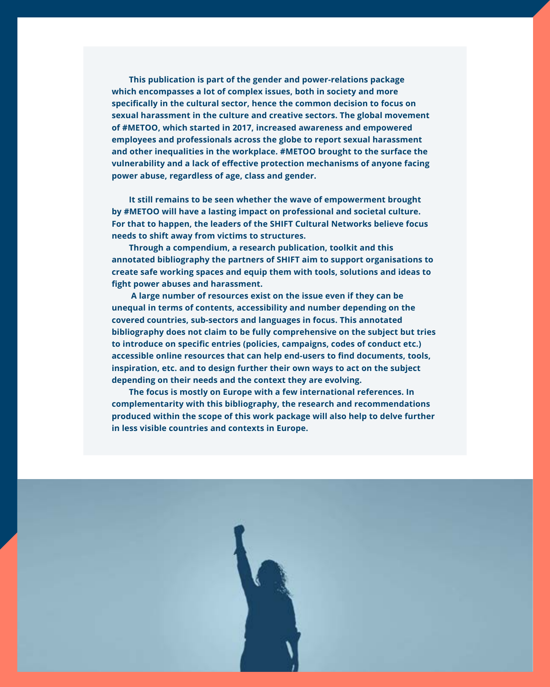**This publication is part of the gender and power-relations package which encompasses a lot of complex issues, both in society and more specifically in the cultural sector, hence the common decision to focus on sexual harassment in the culture and creative sectors. The global movement of #METOO, which started in 2017, increased awareness and empowered employees and professionals across the globe to report sexual harassment and other inequalities in the workplace. #METOO brought to the surface the vulnerability and a lack of effective protection mechanisms of anyone facing power abuse, regardless of age, class and gender.**

**It still remains to be seen whether the wave of empowerment brought by #METOO will have a lasting impact on professional and societal culture. For that to happen, the leaders of the SHIFT Cultural Networks believe focus needs to shift away from victims to structures.** 

**Through a compendium, a research publication, toolkit and this annotated bibliography the partners of SHIFT aim to support organisations to create safe working spaces and equip them with tools, solutions and ideas to fight power abuses and harassment.**

 **A large number of resources exist on the issue even if they can be unequal in terms of contents, accessibility and number depending on the covered countries, sub-sectors and languages in focus. This annotated bibliography does not claim to be fully comprehensive on the subject but tries to introduce on specific entries (policies, campaigns, codes of conduct etc.) accessible online resources that can help end-users to find documents, tools, inspiration, etc. and to design further their own ways to act on the subject depending on their needs and the context they are evolving.** 

**The focus is mostly on Europe with a few international references. In complementarity with this bibliography, the research and recommendations produced within the scope of this work package will also help to delve further in less visible countries and contexts in Europe.** 

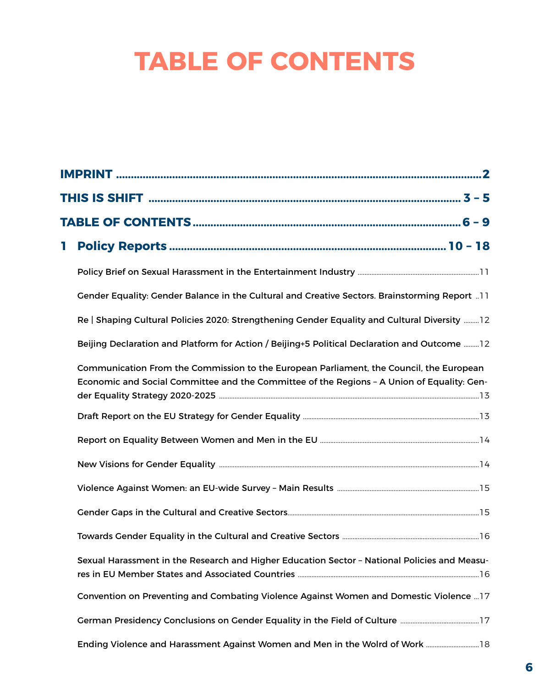# **TABLE OF CONTENTS**

| Т |                                                                                                                                                                                       |  |  |  |  |
|---|---------------------------------------------------------------------------------------------------------------------------------------------------------------------------------------|--|--|--|--|
|   |                                                                                                                                                                                       |  |  |  |  |
|   | Gender Equality: Gender Balance in the Cultural and Creative Sectors. Brainstorming Report 11                                                                                         |  |  |  |  |
|   | Re   Shaping Cultural Policies 2020: Strengthening Gender Equality and Cultural Diversity  12                                                                                         |  |  |  |  |
|   | Beijing Declaration and Platform for Action / Beijing+5 Political Declaration and Outcome  12                                                                                         |  |  |  |  |
|   | Communication From the Commission to the European Parliament, the Council, the European<br>Economic and Social Committee and the Committee of the Regions - A Union of Equality: Gen- |  |  |  |  |
|   |                                                                                                                                                                                       |  |  |  |  |
|   |                                                                                                                                                                                       |  |  |  |  |
|   |                                                                                                                                                                                       |  |  |  |  |
|   |                                                                                                                                                                                       |  |  |  |  |
|   |                                                                                                                                                                                       |  |  |  |  |
|   |                                                                                                                                                                                       |  |  |  |  |
|   | Sexual Harassment in the Research and Higher Education Sector - National Policies and Measu-                                                                                          |  |  |  |  |
|   | Convention on Preventing and Combating Violence Against Women and Domestic Violence  17                                                                                               |  |  |  |  |
|   |                                                                                                                                                                                       |  |  |  |  |
|   | Ending Violence and Harassment Against Women and Men in the Wolrd of Work  18                                                                                                         |  |  |  |  |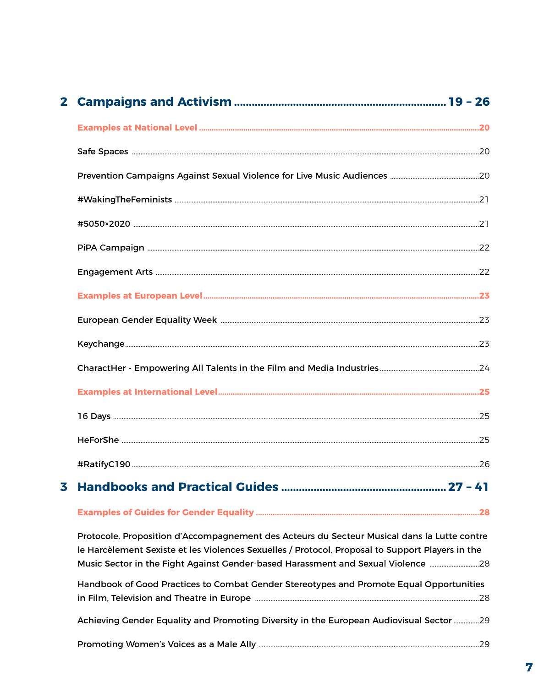| 3 |  |
|---|--|
|   |  |

Protocole, Proposition d'Accompagnement des Acteurs du Secteur Musical dans la Lutte contre le Harcèlement Sexiste et les Violences Sexuelles / Protocol, Proposal to Support Players in the Music Sector in the Fight Against Gender-based Harassment and Sexual Violence ............................28

| Handbook of Good Practices to Combat Gender Stereotypes and Promote Equal Opportunities |
|-----------------------------------------------------------------------------------------|
|                                                                                         |
|                                                                                         |

Achieving Gender Equality and Promoting Diversity in the European Audiovisual Sector ................29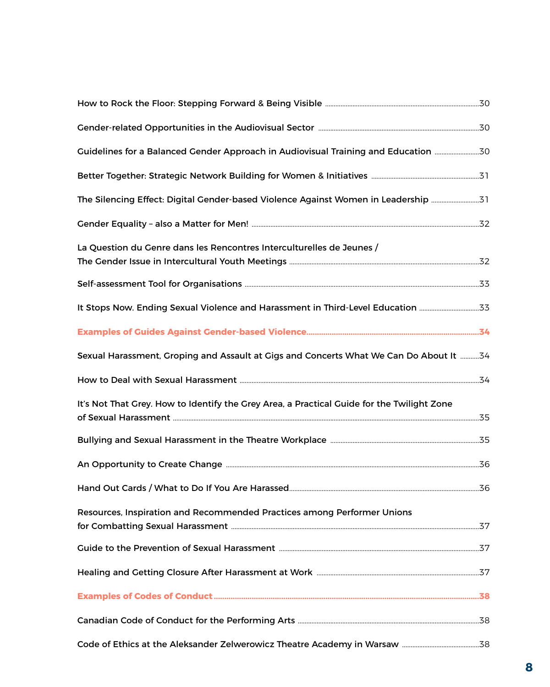| Guidelines for a Balanced Gender Approach in Audiovisual Training and Education 30         |  |
|--------------------------------------------------------------------------------------------|--|
|                                                                                            |  |
| The Silencing Effect: Digital Gender-based Violence Against Women in Leadership 31         |  |
|                                                                                            |  |
| La Question du Genre dans les Rencontres Interculturelles de Jeunes /                      |  |
|                                                                                            |  |
| It Stops Now. Ending Sexual Violence and Harassment in Third-Level Education 33            |  |
|                                                                                            |  |
| Sexual Harassment, Groping and Assault at Gigs and Concerts What We Can Do About It 34     |  |
|                                                                                            |  |
| It's Not That Grey. How to Identify the Grey Area, a Practical Guide for the Twilight Zone |  |
|                                                                                            |  |
|                                                                                            |  |
|                                                                                            |  |
| Resources, Inspiration and Recommended Practices among Performer Unions                    |  |
|                                                                                            |  |
|                                                                                            |  |
|                                                                                            |  |
|                                                                                            |  |
|                                                                                            |  |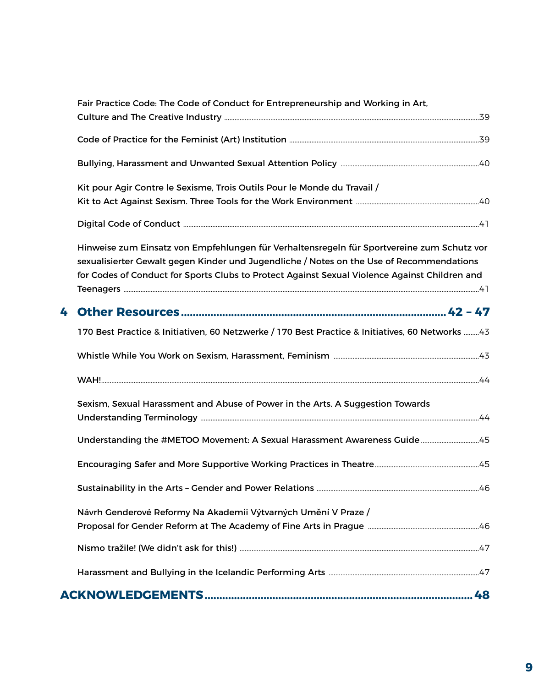|   | Fair Practice Code: The Code of Conduct for Entrepreneurship and Working in Art,                                                                                                                                                                                                        |  |
|---|-----------------------------------------------------------------------------------------------------------------------------------------------------------------------------------------------------------------------------------------------------------------------------------------|--|
|   |                                                                                                                                                                                                                                                                                         |  |
|   |                                                                                                                                                                                                                                                                                         |  |
|   | Kit pour Agir Contre le Sexisme, Trois Outils Pour le Monde du Travail /                                                                                                                                                                                                                |  |
|   |                                                                                                                                                                                                                                                                                         |  |
|   | Hinweise zum Einsatz von Empfehlungen für Verhaltensregeln für Sportvereine zum Schutz vor<br>sexualisierter Gewalt gegen Kinder und Jugendliche / Notes on the Use of Recommendations<br>for Codes of Conduct for Sports Clubs to Protect Against Sexual Violence Against Children and |  |
| 4 |                                                                                                                                                                                                                                                                                         |  |
|   | 170 Best Practice & Initiativen, 60 Netzwerke / 170 Best Practice & Initiatives, 60 Networks 43                                                                                                                                                                                         |  |
|   |                                                                                                                                                                                                                                                                                         |  |
|   |                                                                                                                                                                                                                                                                                         |  |
|   | Sexism, Sexual Harassment and Abuse of Power in the Arts. A Suggestion Towards                                                                                                                                                                                                          |  |
|   | Understanding the #METOO Movement: A Sexual Harassment Awareness Guide45                                                                                                                                                                                                                |  |
|   |                                                                                                                                                                                                                                                                                         |  |
|   |                                                                                                                                                                                                                                                                                         |  |
|   | Návrh Genderové Reformy Na Akademii Výtvarných Umění V Praze /                                                                                                                                                                                                                          |  |
|   |                                                                                                                                                                                                                                                                                         |  |
|   |                                                                                                                                                                                                                                                                                         |  |
|   |                                                                                                                                                                                                                                                                                         |  |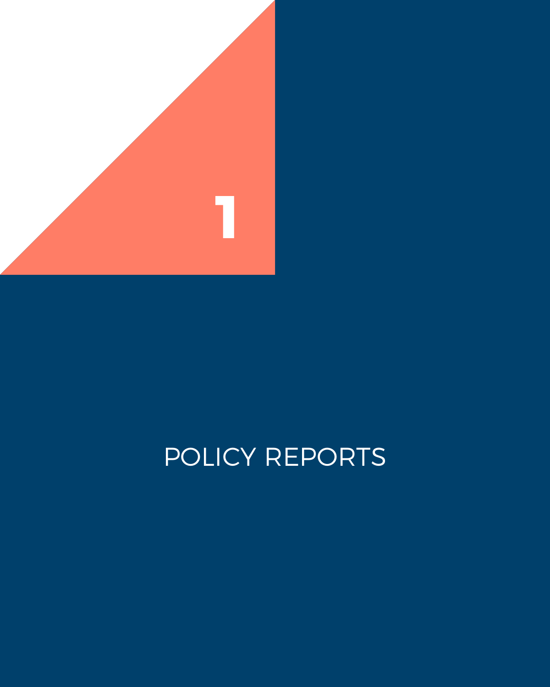<span id="page-9-0"></span>

# POLICY REPORTS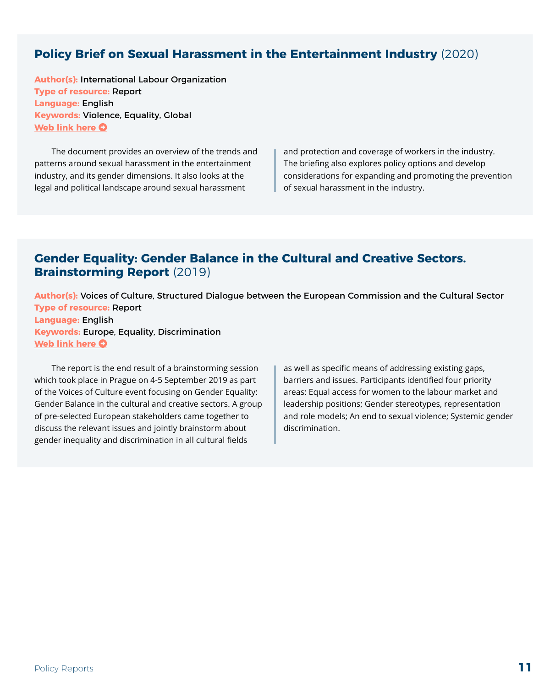### <span id="page-10-0"></span>**Policy Brief on Sexual Harassment in the Entertainment Industry** (2020)

**Author(s):** International Labour Organization **Type of resource:** Report **Language:** English **Keywords:** Violence, Equality, Global **[Web link here](https://www.ilo.org/wcmsp5/groups/public/---ed_dialogue/---actrav/documents/publication/wcms_761947.pdf) O** 

The document provides an overview of the trends and patterns around sexual harassment in the entertainment industry, and its gender dimensions. It also looks at the legal and political landscape around sexual harassment

and protection and coverage of workers in the industry. The briefing also explores policy options and develop considerations for expanding and promoting the prevention of sexual harassment in the industry.

#### **Gender Equality: Gender Balance in the Cultural and Creative Sectors. Brainstorming Report** (2019)

**Author(s):** Voices of Culture, Structured Dialogue between the European Commission and the Cultural Sector **Type of resource:** Report **Language:** English **Keywords:** Europe, Equality, Discrimination **[Web link here](https://voicesofculture.eu/wp-content/uploads/2019/11/VoC-Brainstorming-Report-Gender-Balance-in-the-Cultural-and-Creative-Sectors.pdf)**  $\Omega$ 

The report is the end result of a brainstorming session which took place in Prague on 4-5 September 2019 as part of the Voices of Culture event focusing on Gender Equality: Gender Balance in the cultural and creative sectors. A group of pre-selected European stakeholders came together to discuss the relevant issues and jointly brainstorm about gender inequality and discrimination in all cultural fields

as well as specific means of addressing existing gaps, barriers and issues. Participants identified four priority areas: Equal access for women to the labour market and leadership positions; Gender stereotypes, representation and role models; An end to sexual violence; Systemic gender discrimination.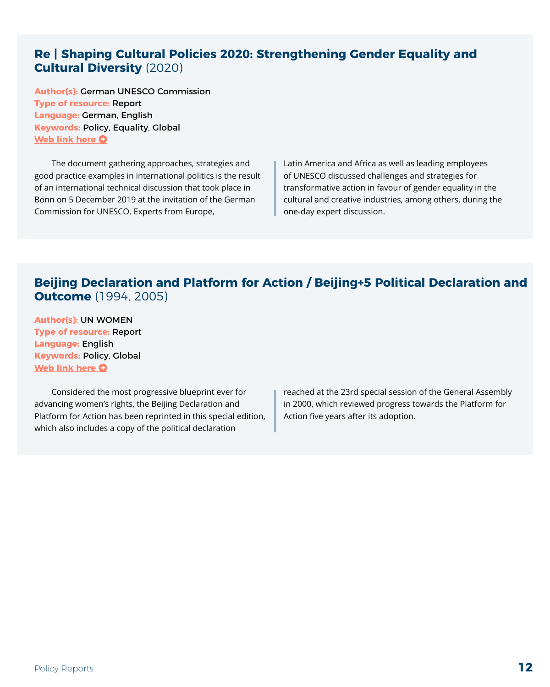#### <span id="page-11-0"></span>**Re | Shaping Cultural Policies 2020: Strengthening Gender Equality and Cultural Diversity** (2020)

**Author(s):** German UNESCO Commission **Type of resource:** Report **Language:** German, English **Keywords:** Policy, Equality, Global **[Web link here](https://kulturland.rlp.de/fileadmin/kulturland/Engl._Version_Cultural_Policies_2020_Strengthening_Gender_Equality_and_Cultural_diversity_2019.pdf) O** 

The document gathering approaches, strategies and good practice examples in international politics is the result of an international technical discussion that took place in Bonn on 5 December 2019 at the invitation of the German Commission for UNESCO. Experts from Europe,

Latin America and Africa as well as leading employees of UNESCO discussed challenges and strategies for transformative action in favour of gender equality in the cultural and creative industries, among others, during the one-day expert discussion.

#### **Beijing Declaration and Platform for Action / Beijing+5 Political Declaration and Outcome** (1994, 2005)

**Author(s):** UN WOMEN **Type of resource:** Report **Language:** English **Keywords:** Policy, Global **[Web link here](https://beijing20.unwomen.org/~/media/headquarters/attachments/sections/csw/pfa_e_final_web.pdf#page=161) O** 

Considered the most progressive blueprint ever for advancing women's rights, the Beijing Declaration and Platform for Action has been reprinted in this special edition, which also includes a copy of the political declaration

reached at the 23rd special session of the General Assembly in 2000, which reviewed progress towards the Platform for Action five years after its adoption.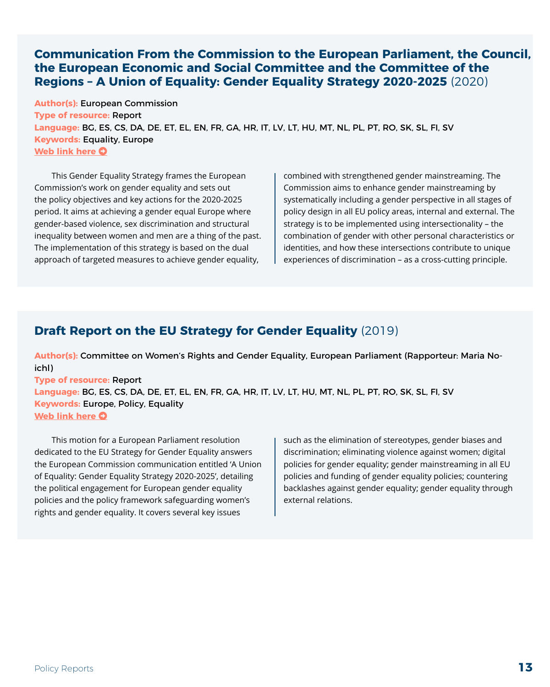#### <span id="page-12-0"></span>**Communication From the Commission to the European Parliament, the Council, the European Economic and Social Committee and the Committee of the Regions – A Union of Equality: Gender Equality Strategy 2020-2025** (2020)

**Author(s):** European Commission **Type of resource:** Report **Language:** BG, ES, CS, DA, DE, ET, EL, EN, FR, GA, HR, IT, LV, LT, HU, MT, NL, PL, PT, RO, SK, SL, FI, SV **Keywords:** Equality, Europe **[Web link here](https://eur-lex.europa.eu/legal-content/EN/TXT/?uri=CELEX:52020DC0152) O** 

This Gender Equality Strategy frames the European Commission's work on gender equality and sets out the policy objectives and key actions for the 2020-2025 period. It aims at achieving a gender equal Europe where gender-based violence, sex discrimination and structural inequality between women and men are a thing of the past. The implementation of this strategy is based on the dual approach of targeted measures to achieve gender equality,

combined with strengthened gender mainstreaming. The Commission aims to enhance gender mainstreaming by systematically including a gender perspective in all stages of policy design in all EU policy areas, internal and external. The strategy is to be implemented using intersectionality – the combination of gender with other personal characteristics or identities, and how these intersections contribute to unique experiences of discrimination – as a cross-cutting principle.

### **Draft Report on the EU Strategy for Gender Equality** (2019)

**Author(s):** Committee on Women's Rights and Gender Equality, European Parliament (Rapporteur: Maria Noichl)

**Type of resource:** Report **Language:** BG, ES, CS, DA, DE, ET, EL, EN, FR, GA, HR, IT, LV, LT, HU, MT, NL, PL, PT, RO, SK, SL, FI, SV **Keywords:** Europe, Policy, Equality **[Web link here](https://www.europarl.europa.eu/doceo/document/FEMM-PR-650408_EN.pdf) O** 

This motion for a European Parliament resolution dedicated to the EU Strategy for Gender Equality answers the European Commission communication entitled 'A Union of Equality: Gender Equality Strategy 2020-2025', detailing the political engagement for European gender equality policies and the policy framework safeguarding women's rights and gender equality. It covers several key issues

such as the elimination of stereotypes, gender biases and discrimination; eliminating violence against women; digital policies for gender equality; gender mainstreaming in all EU policies and funding of gender equality policies; countering backlashes against gender equality; gender equality through external relations.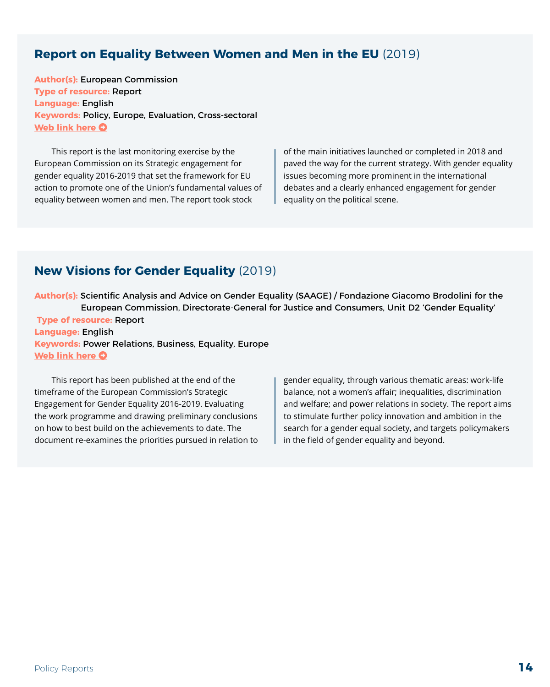#### <span id="page-13-0"></span>**Report on Equality Between Women and Men in the EU** (2019)

**Author(s):** European Commission **Type of resource:** Report **Language:** English **Keywords:** Policy, Europe, Evaluation, Cross-sectoral **[Web link here](https://ec.europa.eu/info/sites/default/files/aid_development_cooperation_fundamental_rights/annual_report_ge_2019_en_1.pdf) O** 

This report is the last monitoring exercise by the European Commission on its Strategic engagement for gender equality 2016-2019 that set the framework for EU action to promote one of the Union's fundamental values of equality between women and men. The report took stock

of the main initiatives launched or completed in 2018 and paved the way for the current strategy. With gender equality issues becoming more prominent in the international debates and a clearly enhanced engagement for gender equality on the political scene.

### **New Visions for Gender Equality** (2019)

**Author(s):** Scientific Analysis and Advice on Gender Equality (SAAGE) / Fondazione Giacomo Brodolini for the European Commission, Directorate-General for Justice and Consumers, Unit D2 'Gender Equality' **Type of resource:** Report **Language:** English **Keywords:** Power Relations, Business, Equality, Europe **[Web link here](https://ec.europa.eu/info/sites/default/files/saage_report-new_visions_for_gender_equality-2019.pdf) O** 

This report has been published at the end of the timeframe of the European Commission's Strategic Engagement for Gender Equality 2016-2019. Evaluating the work programme and drawing preliminary conclusions on how to best build on the achievements to date. The document re-examines the priorities pursued in relation to gender equality, through various thematic areas: work-life balance, not a women's affair; inequalities, discrimination and welfare; and power relations in society. The report aims to stimulate further policy innovation and ambition in the search for a gender equal society, and targets policymakers in the field of gender equality and beyond.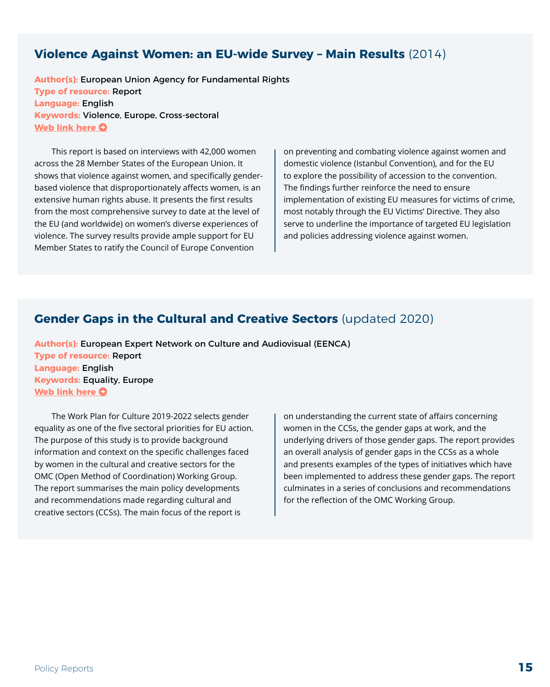#### <span id="page-14-0"></span>**Violence Against Women: an EU-wide Survey – Main Results** (2014)

**Author(s):** European Union Agency for Fundamental Rights **Type of resource:** Report **Language:** English **Keywords:** Violence, Europe, Cross-sectoral **[Web link here](https://fra.europa.eu/sites/default/files/fra_uploads/fra-2014-vaw-survey-main-results-apr14_en.pdf) O** 

This report is based on interviews with 42,000 women across the 28 Member States of the European Union. It shows that violence against women, and specifically genderbased violence that disproportionately affects women, is an extensive human rights abuse. It presents the first results from the most comprehensive survey to date at the level of the EU (and worldwide) on women's diverse experiences of violence. The survey results provide ample support for EU Member States to ratify the Council of Europe Convention

on preventing and combating violence against women and domestic violence (Istanbul Convention), and for the EU to explore the possibility of accession to the convention. The findings further reinforce the need to ensure implementation of existing EU measures for victims of crime, most notably through the EU Victims' Directive. They also serve to underline the importance of targeted EU legislation and policies addressing violence against women.

#### **Gender Gaps in the Cultural and Creative Sectors** (updated 2020)

**Author(s):** European Expert Network on Culture and Audiovisual (EENCA) **Type of resource:** Report **Language:** English **Keywords:** Equality, Europe **[Web link here](http://www.eenca.com/index.cfm/publications/gender-gaps-in-the-cultural-and-creative-sectors/) O** 

The Work Plan for Culture 2019-2022 selects gender equality as one of the five sectoral priorities for EU action. The purpose of this study is to provide background information and context on the specific challenges faced by women in the cultural and creative sectors for the OMC (Open Method of Coordination) Working Group. The report summarises the main policy developments and recommendations made regarding cultural and creative sectors (CCSs). The main focus of the report is

on understanding the current state of affairs concerning women in the CCSs, the gender gaps at work, and the underlying drivers of those gender gaps. The report provides an overall analysis of gender gaps in the CCSs as a whole and presents examples of the types of initiatives which have been implemented to address these gender gaps. The report culminates in a series of conclusions and recommendations for the reflection of the OMC Working Group.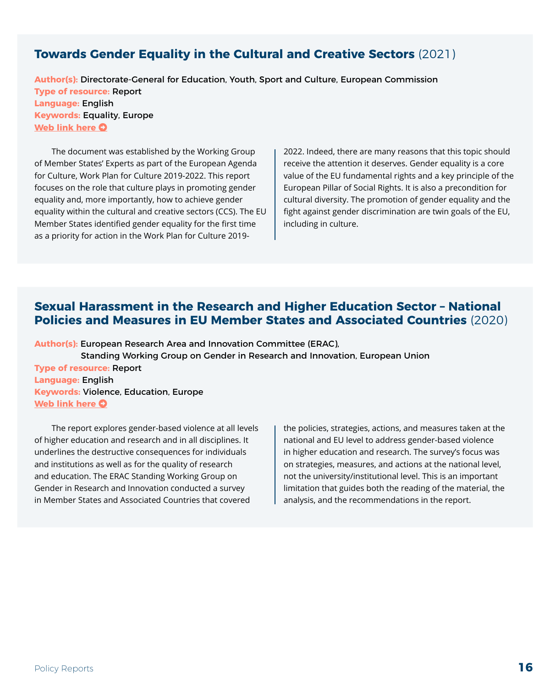#### <span id="page-15-0"></span>**Towards Gender Equality in the Cultural and Creative Sectors** (2021)

**Author(s):** Directorate-General for Education, Youth, Sport and Culture, European Commission **Type of resource:** Report **Language:** English **Keywords:** Equality, Europe **[Web link here](https://op.europa.eu/en/publication-detail/-/publication/36e9028b-c73b-11eb-a925-01aa75ed71a1/language-en) O** 

The document was established by the Working Group of Member States' Experts as part of the European Agenda for Culture, Work Plan for Culture 2019-2022. This report focuses on the role that culture plays in promoting gender equality and, more importantly, how to achieve gender equality within the cultural and creative sectors (CCS). The EU Member States identified gender equality for the first time as a priority for action in the Work Plan for Culture 2019-

2022. Indeed, there are many reasons that this topic should receive the attention it deserves. Gender equality is a core value of the EU fundamental rights and a key principle of the European Pillar of Social Rights. It is also a precondition for cultural diversity. The promotion of gender equality and the fight against gender discrimination are twin goals of the EU, including in culture.

#### **Sexual Harassment in the Research and Higher Education Sector – National Policies and Measures in EU Member States and Associated Countries** (2020)

**Author(s):** European Research Area and Innovation Committee (ERAC), Standing Working Group on Gender in Research and Innovation, European Union **Type of resource:** Report **Language:** English **Keywords:** Violence, Education, Europe **[Web link here](https://genderaction.eu/wp-content/uploads/2020/06/SWGGRI_Sexual-Harassment-in-the-Research-Higher-Ed.-National-Policies-Measures.pdf) O** 

The report explores gender-based violence at all levels of higher education and research and in all disciplines. It underlines the destructive consequences for individuals and institutions as well as for the quality of research and education. The ERAC Standing Working Group on Gender in Research and Innovation conducted a survey in Member States and Associated Countries that covered

the policies, strategies, actions, and measures taken at the national and EU level to address gender-based violence in higher education and research. The survey's focus was on strategies, measures, and actions at the national level, not the university/institutional level. This is an important limitation that guides both the reading of the material, the analysis, and the recommendations in the report.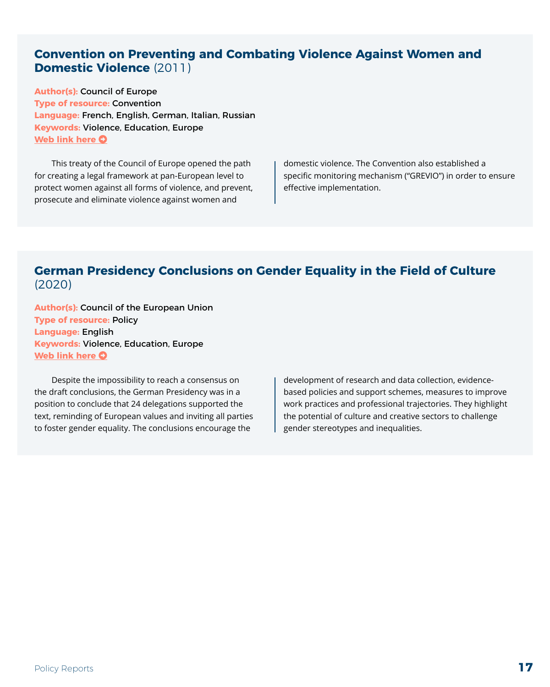#### <span id="page-16-0"></span>**Convention on Preventing and Combating Violence Against Women and Domestic Violence** (2011)

**Author(s):** Council of Europe **Type of resource:** Convention **Language:** French, English, German, Italian, Russian **Keywords:** Violence, Education, Europe **[Web link here](https://rm.coe.int/168008482e) O** 

This treaty of the Council of Europe opened the path for creating a legal framework at pan-European level to protect women against all forms of violence, and prevent, prosecute and eliminate violence against women and

domestic violence. The Convention also established a specific monitoring mechanism ("GREVIO") in order to ensure effective implementation.

#### **German Presidency Conclusions on Gender Equality in the Field of Culture**  (2020)

**Author(s):** Council of the European Union **Type of resource:** Policy **Language:** English **Keywords:** Violence, Education, Europe **[Web link here](https://data.consilium.europa.eu/doc/document/ST-13097-2020-INIT/en/pdf) O** 

Despite the impossibility to reach a consensus on the draft conclusions, the German Presidency was in a position to conclude that 24 delegations supported the text, reminding of European values and inviting all parties to foster gender equality. The conclusions encourage the

development of research and data collection, evidencebased policies and support schemes, measures to improve work practices and professional trajectories. They highlight the potential of culture and creative sectors to challenge gender stereotypes and inequalities.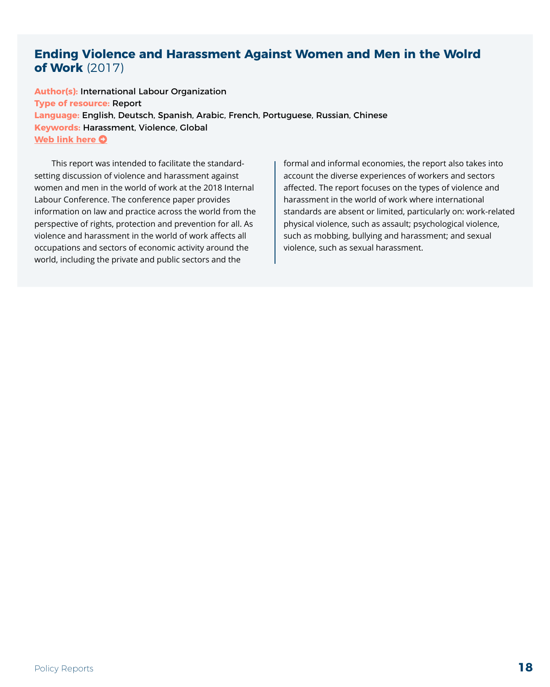#### <span id="page-17-0"></span>**Ending Violence and Harassment Against Women and Men in the Wolrd of Work** (2017)

**Author(s):** International Labour Organization **Type of resource:** Report **Language:** English, Deutsch, Spanish, Arabic, French, Portuguese, Russian, Chinese **Keywords:** Harassment, Violence, Global **[Web link here](https://www.ilo.org/ilc/ILCSessions/previous-sessions/107/reports/reports-to-the-conference/WCMS_553577/lang--en/index.htm) O** 

This report was intended to facilitate the standardsetting discussion of violence and harassment against women and men in the world of work at the 2018 Internal Labour Conference. The conference paper provides information on law and practice across the world from the perspective of rights, protection and prevention for all. As violence and harassment in the world of work affects all occupations and sectors of economic activity around the world, including the private and public sectors and the

formal and informal economies, the report also takes into account the diverse experiences of workers and sectors affected. The report focuses on the types of violence and harassment in the world of work where international standards are absent or limited, particularly on: work-related physical violence, such as assault; psychological violence, such as mobbing, bullying and harassment; and sexual violence, such as sexual harassment.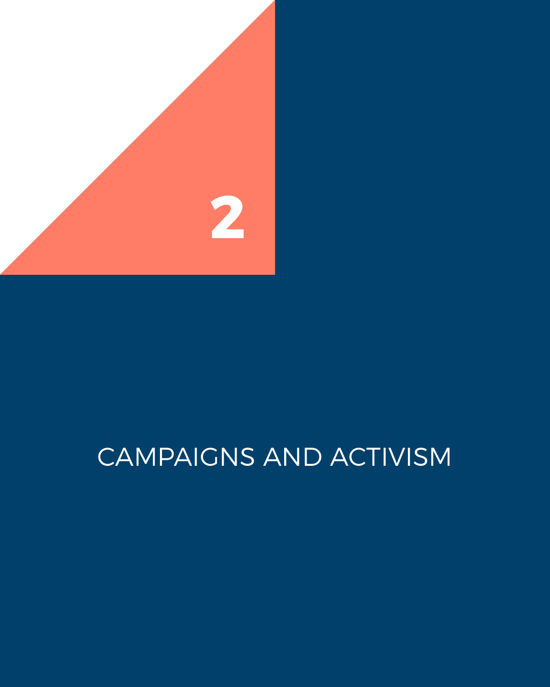<span id="page-18-0"></span>

# CAMPAIGNS AND ACTIVISM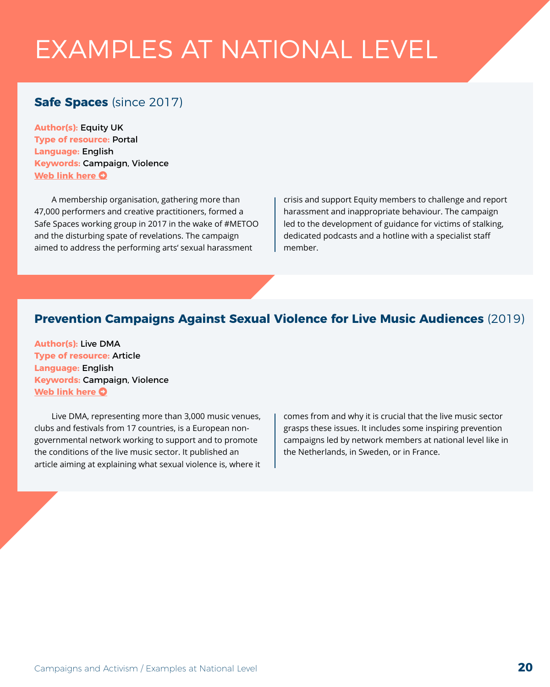# <span id="page-19-0"></span>EXAMPLES AT NATIONAL LEVEL

## **Safe Spaces** (since 2017)

**Author(s):** Equity UK **Type of resource:** Portal **Language:** English **Keywords:** Campaign, Violence **[Web link here](https://www.equity.org.uk/getting-involved/campaigns/safe-spaces/) O** 

A membership organisation, gathering more than 47,000 performers and creative practitioners, formed a Safe Spaces working group in 2017 in the wake of #METOO and the disturbing spate of revelations. The campaign aimed to address the performing arts' sexual harassment

crisis and support Equity members to challenge and report harassment and inappropriate behaviour. The campaign led to the development of guidance for victims of stalking, dedicated podcasts and a hotline with a specialist staff member.

#### **Prevention Campaigns Against Sexual Violence for Live Music Audiences** (2019)

**Author(s):** Live DMA **Type of resource:** Article **Language:** English **Keywords:** Campaign, Violence **[Web link here](https://www.live-dma.eu/prevention-campaigns-against-sexual-violence-for-live-music-audiences/) O** 

Live DMA, representing more than 3,000 music venues, clubs and festivals from 17 countries, is a European nongovernmental network working to support and to promote the conditions of the live music sector. It published an article aiming at explaining what sexual violence is, where it comes from and why it is crucial that the live music sector grasps these issues. It includes some inspiring prevention campaigns led by network members at national level like in the Netherlands, in Sweden, or in France.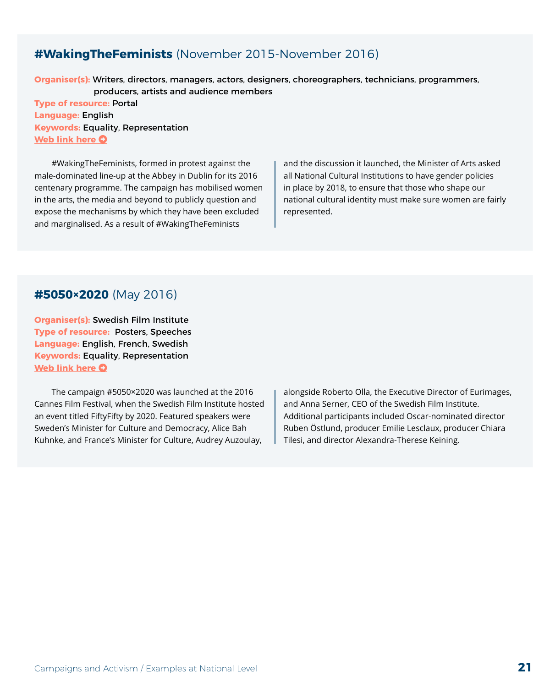#### <span id="page-20-0"></span>**#WakingTheFeminists** (November 2015-November 2016)

**Organiser(s):** Writers, directors, managers, actors, designers, choreographers, technicians, programmers,

producers, artists and audience members

**Type of resource:** Portal **Language:** English **Keywords:** Equality, Representation **[Web link here](http://www.wakingthefeminists.org/) O** 

#WakingTheFeminists, formed in protest against the male-dominated line-up at the Abbey in Dublin for its 2016 centenary programme. The campaign has mobilised women in the arts, the media and beyond to publicly question and expose the mechanisms by which they have been excluded and marginalised. As a result of #WakingTheFeminists

and the discussion it launched, the Minister of Arts asked all National Cultural Institutions to have gender policies in place by 2018, to ensure that those who shape our national cultural identity must make sure women are fairly represented.

#### **#5050×2020** (May 2016)

**Organiser(s):** Swedish Film Institute **Type of resource:** Posters, Speeches **Language:** English, French, Swedish **Keywords:** Equality, Representation **[Web link here](https://en.wikipedia.org/wiki/5050x2020) O** 

The campaign #5050×2020 was launched at the 2016 Cannes Film Festival, when the Swedish Film Institute hosted an event titled FiftyFifty by 2020. Featured speakers were Sweden's Minister for Culture and Democracy, Alice Bah Kuhnke, and France's Minister for Culture, Audrey Auzoulay,

alongside Roberto Olla, the Executive Director of Eurimages, and Anna Serner, CEO of the Swedish Film Institute. Additional participants included Oscar-nominated director Ruben Östlund, producer Emilie Lesclaux, producer Chiara Tilesi, and director Alexandra-Therese Keining.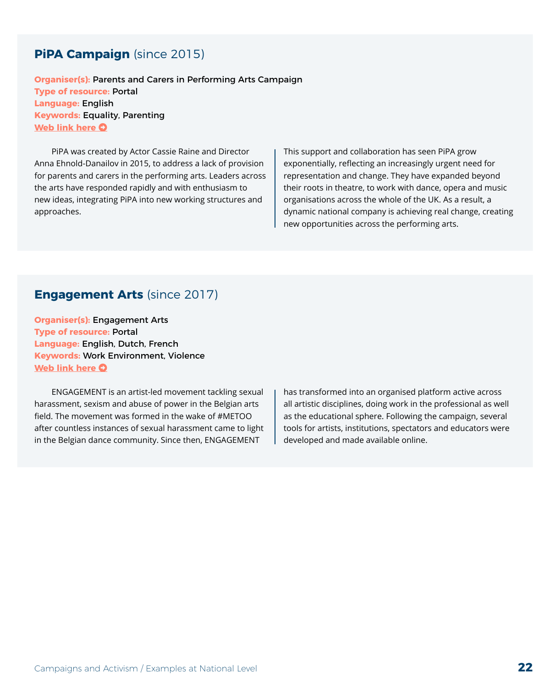### <span id="page-21-0"></span>**PiPA Campaign** (since 2015)

**Organiser(s):** Parents and Carers in Performing Arts Campaign **Type of resource:** Portal **Language:** English **Keywords:** Equality, Parenting **[Web link here](http://www.pipacampaign.com/) O** 

PiPA was created by Actor Cassie Raine and Director Anna Ehnold-Danailov in 2015, to address a lack of provision for parents and carers in the performing arts. Leaders across the arts have responded rapidly and with enthusiasm to new ideas, integrating PiPA into new working structures and approaches.

This support and collaboration has seen PiPA grow exponentially, reflecting an increasingly urgent need for representation and change. They have expanded beyond their roots in theatre, to work with dance, opera and music organisations across the whole of the UK. As a result, a dynamic national company is achieving real change, creating new opportunities across the performing arts.

#### **Engagement Arts** (since 2017)

**Organiser(s):** Engagement Arts **Type of resource:** Portal **Language:** English, Dutch, French **Keywords:** Work Environment, Violence **[Web link here](https://www.engagementarts.be/en/tools) O** 

ENGAGEMENT is an artist-led movement tackling sexual harassment, sexism and abuse of power in the Belgian arts field. The movement was formed in the wake of #METOO after countless instances of sexual harassment came to light in the Belgian dance community. Since then, ENGAGEMENT

has transformed into an organised platform active across all artistic disciplines, doing work in the professional as well as the educational sphere. Following the campaign, several tools for artists, institutions, spectators and educators were developed and made available online.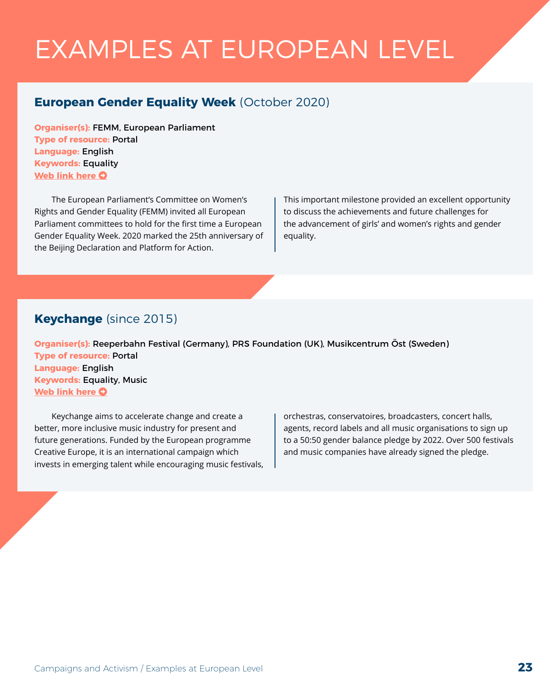# <span id="page-22-0"></span>EXAMPLES AT EUROPEAN LEVEL

## **European Gender Equality Week** (October 2020)

**Organiser(s):** FEMM, European Parliament **Type of resource:** Portal **Language:** English **Keywords:** Equality **[Web link here](https://www.europarl.europa.eu/committees/en/european-gender-equality-week-placing-ca/product-details/20201019CAN58024) O** 

The European Parliament's Committee on Women's Rights and Gender Equality (FEMM) invited all European Parliament committees to hold for the first time a European Gender Equality Week. 2020 marked the 25th anniversary of the Beijing Declaration and Platform for Action.

This important milestone provided an excellent opportunity to discuss the achievements and future challenges for the advancement of girls' and women's rights and gender equality.

### **Keychange** (since 2015)

**Organiser(s):** Reeperbahn Festival (Germany), PRS Foundation (UK), Musikcentrum Öst (Sweden) **Type of resource:** Portal **Language:** English **Keywords:** Equality, Music **[Web link here](https://www.keychange.eu/) O** 

Keychange aims to accelerate change and create a better, more inclusive music industry for present and future generations. Funded by the European programme Creative Europe, it is an international campaign which invests in emerging talent while encouraging music festivals, orchestras, conservatoires, broadcasters, concert halls, agents, record labels and all music organisations to sign up to a 50:50 gender balance pledge by 2022. Over 500 festivals and music companies have already signed the pledge.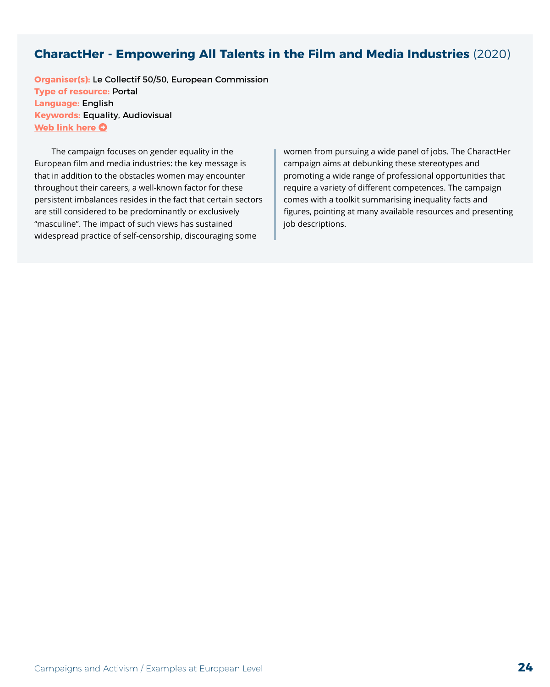#### <span id="page-23-0"></span>**CharactHer - Empowering All Talents in the Film and Media Industries** (2020)

**Organiser(s):** Le Collectif 50/50, European Commission **Type of resource:** Portal **Language:** English **Keywords:** Equality, Audiovisual **[Web link here](https://characther.eu/) O** 

The campaign focuses on gender equality in the European film and media industries: the key message is that in addition to the obstacles women may encounter throughout their careers, a well-known factor for these persistent imbalances resides in the fact that certain sectors are still considered to be predominantly or exclusively "masculine". The impact of such views has sustained widespread practice of self-censorship, discouraging some

women from pursuing a wide panel of jobs. The CharactHer campaign aims at debunking these stereotypes and promoting a wide range of professional opportunities that require a variety of different competences. The campaign comes with a toolkit summarising inequality facts and figures, pointing at many available resources and presenting job descriptions.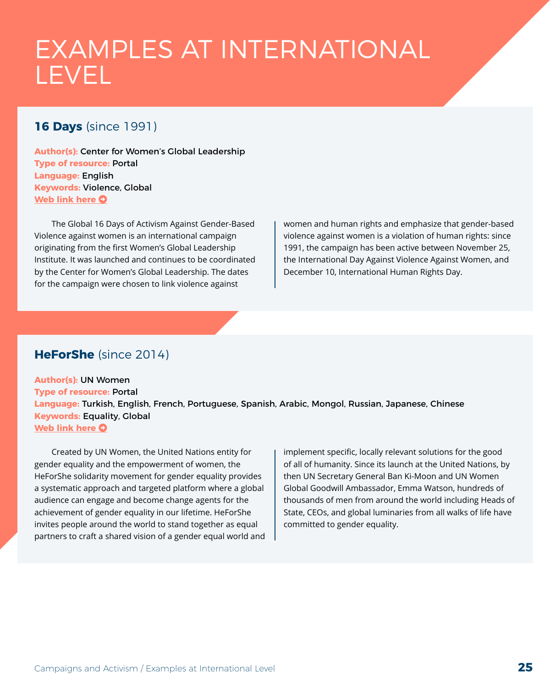## <span id="page-24-0"></span>EXAMPLES AT INTERNATIONAL LEVEL

### **16 Days** (since 1991)

**Author(s):** Center for Women's Global Leadership **Type of resource:** Portal **Language:** English **Keywords:** Violence, Global **[Web link here](https://16dayscampaign.org/about-the-campaign/) O** 

The Global 16 Days of Activism Against Gender-Based Violence against women is an international campaign originating from the first Women's Global Leadership Institute. It was launched and continues to be coordinated by the Center for Women's Global Leadership. The dates for the campaign were chosen to link violence against

women and human rights and emphasize that gender-based violence against women is a violation of human rights: since 1991, the campaign has been active between November 25, the International Day Against Violence Against Women, and December 10, International Human Rights Day.

#### **HeForShe** (since 2014)

**Author(s):** UN Women **Type of resource:** Portal **Language:** Turkish, English, French, Portuguese, Spanish, Arabic, Mongol, Russian, Japanese, Chinese **Keywords:** Equality, Global **[Web link here](https://www.heforshe.org/) O** 

Created by UN Women, the United Nations entity for gender equality and the empowerment of women, the HeForShe solidarity movement for gender equality provides a systematic approach and targeted platform where a global audience can engage and become change agents for the achievement of gender equality in our lifetime. HeForShe invites people around the world to stand together as equal partners to craft a shared vision of a gender equal world and implement specific, locally relevant solutions for the good of all of humanity. Since its launch at the United Nations, by then UN Secretary General Ban Ki-Moon and UN Women Global Goodwill Ambassador, Emma Watson, hundreds of thousands of men from around the world including Heads of State, CEOs, and global luminaries from all walks of life have committed to gender equality.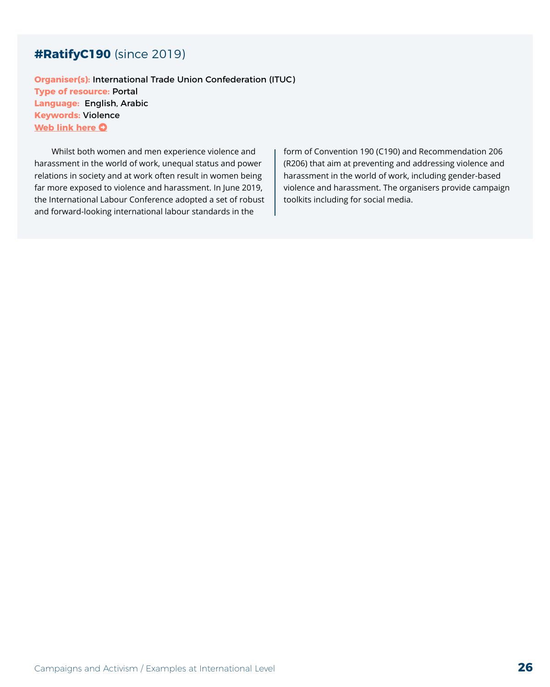#### <span id="page-25-0"></span>**#RatifyC190** (since 2019)

**Organiser(s):** International Trade Union Confederation (ITUC) **Type of resource:** Portal **Language:** English, Arabic **Keywords:** Violence **[Web link here](https://www.ituc-csi.org/GBV?lang=en) O** 

Whilst both women and men experience violence and harassment in the world of work, unequal status and power relations in society and at work often result in women being far more exposed to violence and harassment. In June 2019, the International Labour Conference adopted a set of robust and forward-looking international labour standards in the

form of Convention 190 (C190) and Recommendation 206 (R206) that aim at preventing and addressing violence and harassment in the world of work, including gender-based violence and harassment. The organisers provide campaign toolkits including for social media.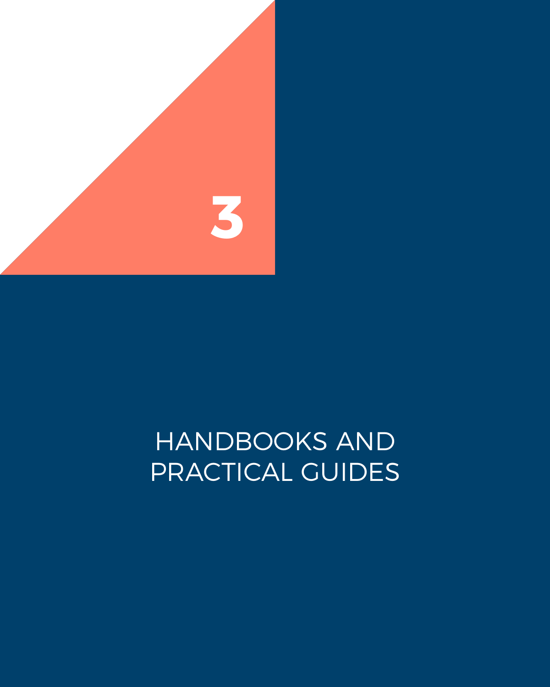<span id="page-26-0"></span>

# HANDBOOKS AND PRACTICAL GUIDES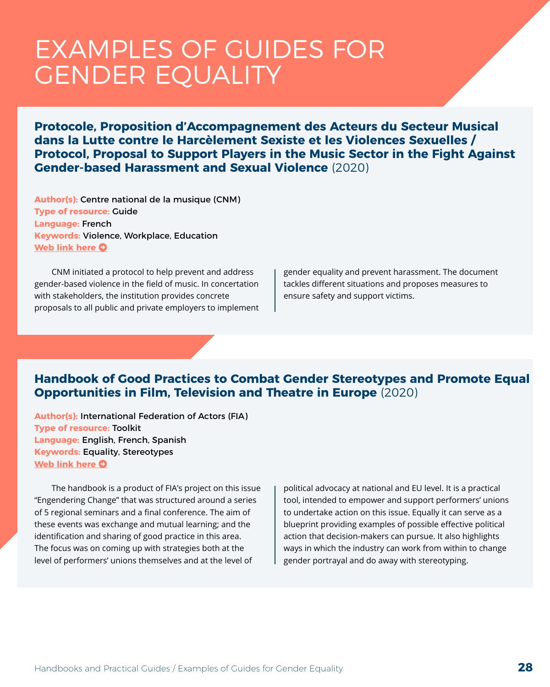# <span id="page-27-0"></span>EXAMPLES OF GUIDES FOR GENDER EQUALITY

**Protocole, Proposition d'Accompagnement des Acteurs du Secteur Musical dans la Lutte contre le Harcèlement Sexiste et les Violences Sexuelles / Protocol, Proposal to Support Players in the Music Sector in the Fight Against Gender-based Harassment and Sexual Violence** (2020)

**Author(s):** Centre national de la musique (CNM) **Type of resource:** Guide **Language:** French **Keywords:** Violence, Workplace, Education **[Web link here](https://cnm.fr/protocole-contre-le-harcelement-sexiste-et-les-violences-sexuelles/)**  $\Omega$ 

CNM initiated a protocol to help prevent and address gender-based violence in the field of music. In concertation with stakeholders, the institution provides concrete proposals to all public and private employers to implement gender equality and prevent harassment. The document tackles different situations and proposes measures to ensure safety and support victims.

#### **Handbook of Good Practices to Combat Gender Stereotypes and Promote Equal Opportunities in Film, Television and Theatre in Europe** (2020)

**Author(s):** International Federation of Actors (FIA) **Type of resource:** Toolkit **Language:** English, French, Spanish **Keywords:** Equality, Stereotypes **[Web link here](https://fia-actors.com/media/press-releases/press-releases-details/article/handbook-of-good-practices-to-combat-gender-stereotypes-and-promote-equal-opportunities-in-film-tel/) O** 

The handbook is a product of FIA's project on this issue "Engendering Change" that was structured around a series of 5 regional seminars and a final conference. The aim of these events was exchange and mutual learning; and the identification and sharing of good practice in this area. The focus was on coming up with strategies both at the level of performers' unions themselves and at the level of

political advocacy at national and EU level. It is a practical tool, intended to empower and support performers' unions to undertake action on this issue. Equally it can serve as a blueprint providing examples of possible effective political action that decision-makers can pursue. It also highlights ways in which the industry can work from within to change gender portrayal and do away with stereotyping.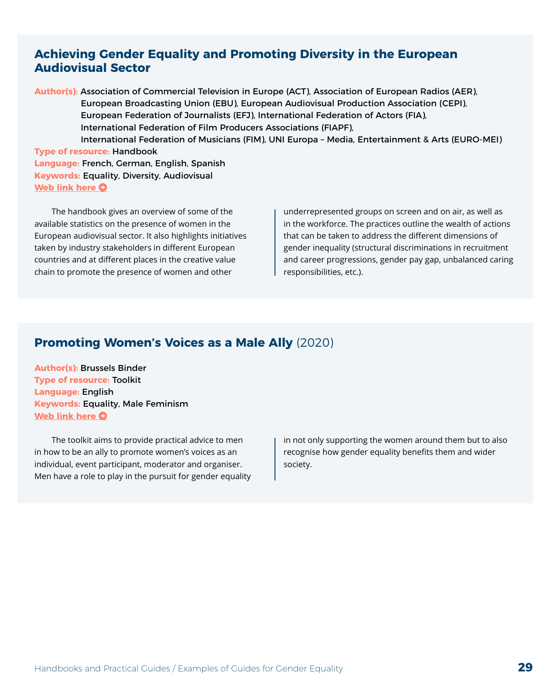#### <span id="page-28-0"></span>**Achieving Gender Equality and Promoting Diversity in the European Audiovisual Sector**

**Author(s):** Association of Commercial Television in Europe (ACT), Association of European Radios (AER), European Broadcasting Union (EBU), European Audiovisual Production Association (CEPI), European Federation of Journalists (EFJ), International Federation of Actors (FIA), International Federation of Film Producers Associations (FIAPF),

 International Federation of Musicians (FIM), UNI Europa – Media, Entertainment & Arts (EURO-MEI) **Type of resource:** Handbook

**Language:** French, German, English, Spanish **Keywords:** Equality, Diversity, Audiovisual **[Web link here](https://www.equalitydiversityinavsector.eu/) O** 

The handbook gives an overview of some of the available statistics on the presence of women in the European audiovisual sector. It also highlights initiatives taken by industry stakeholders in different European countries and at different places in the creative value chain to promote the presence of women and other

underrepresented groups on screen and on air, as well as in the workforce. The practices outline the wealth of actions that can be taken to address the different dimensions of gender inequality (structural discriminations in recruitment and career progressions, gender pay gap, unbalanced caring responsibilities, etc.).

#### **Promoting Women's Voices as a Male Ally** (2020)

**Author(s):** Brussels Binder **Type of resource:** Toolkit **Language:** English **Keywords:** Equality, Male Feminism **[Web link here](https://toolbox.brusselsbinder.org/male-ally/) O** 

The toolkit aims to provide practical advice to men in how to be an ally to promote women's voices as an individual, event participant, moderator and organiser. Men have a role to play in the pursuit for gender equality in not only supporting the women around them but to also recognise how gender equality benefits them and wider society.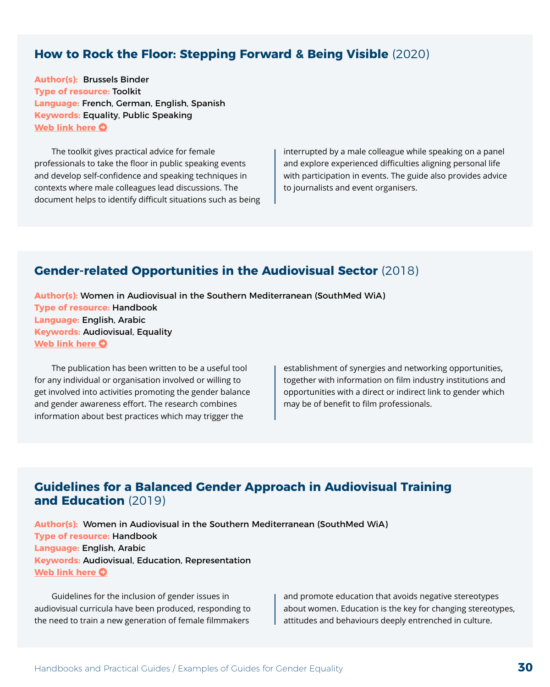#### <span id="page-29-0"></span>**How to Rock the Floor: Stepping Forward & Being Visible** (2020)

**Author(s):** Brussels Binder **Type of resource:** Toolkit **Language:** French, German, English, Spanish **Keywords:** Equality, Public Speaking **[Web link here](https://toolbox.brusselsbinder.org/stepping-forward/) O** 

The toolkit gives practical advice for female professionals to take the floor in public speaking events and develop self-confidence and speaking techniques in contexts where male colleagues lead discussions. The document helps to identify difficult situations such as being interrupted by a male colleague while speaking on a panel and explore experienced difficulties aligning personal life with participation in events. The guide also provides advice to journalists and event organisers.

#### **Gender-related Opportunities in the Audiovisual Sector** (2018)

**Author(s):** Women in Audiovisual in the Southern Mediterranean (SouthMed WiA) **Type of resource:** Handbook **Language:** English, Arabic **Keywords:** Audiovisual, Equality **[Web link here](http://www.smedwia.eu/fr/activities-2/publication/) O** 

The publication has been written to be a useful tool for any individual or organisation involved or willing to get involved into activities promoting the gender balance and gender awareness effort. The research combines information about best practices which may trigger the

establishment of synergies and networking opportunities, together with information on film industry institutions and opportunities with a direct or indirect link to gender which may be of benefit to film professionals.

#### **Guidelines for a Balanced Gender Approach in Audiovisual Training and Education** (2019)

**Author(s):** Women in Audiovisual in the Southern Mediterranean (SouthMed WiA) **Type of resource:** Handbook **Language:** English, Arabic **Keywords:** Audiovisual, Education, Representation **[Web link here](http://www.smedwia.eu/fr/activities-2/publication/) O** 

Guidelines for the inclusion of gender issues in audiovisual curricula have been produced, responding to the need to train a new generation of female filmmakers

and promote education that avoids negative stereotypes about women. Education is the key for changing stereotypes, attitudes and behaviours deeply entrenched in culture.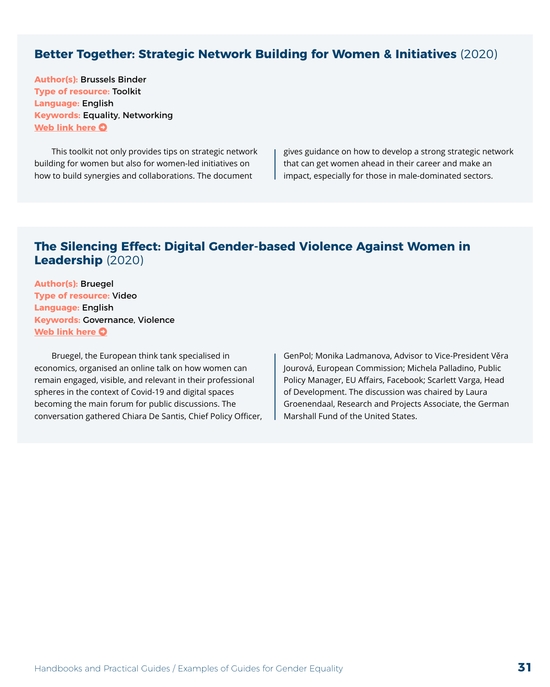#### <span id="page-30-0"></span>**Better Together: Strategic Network Building for Women & Initiatives** (2020)

**Author(s):** Brussels Binder **Type of resource:** Toolkit **Language:** English **Keywords:** Equality, Networking **[Web link here](https://toolbox.brusselsbinder.org/network-building/) O** 

This toolkit not only provides tips on strategic network building for women but also for women-led initiatives on how to build synergies and collaborations. The document

gives guidance on how to develop a strong strategic network that can get women ahead in their career and make an impact, especially for those in male-dominated sectors.

#### **The Silencing Effect: Digital Gender-based Violence Against Women in Leadership** (2020)

**Author(s):** Bruegel **Type of resource:** Video **Language:** English **Keywords:** Governance, Violence **[Web link here](https://www.bruegel.org/events/the-silencing-effect-digital-gender-based-violence-against-women-in-leadership/) O** 

Bruegel, the European think tank specialised in economics, organised an online talk on how women can remain engaged, visible, and relevant in their professional spheres in the context of Covid-19 and digital spaces becoming the main forum for public discussions. The conversation gathered Chiara De Santis, Chief Policy Officer, GenPol; Monika Ladmanova, Advisor to Vice-President Věra Jourová, European Commission; Michela Palladino, Public Policy Manager, EU Affairs, Facebook; Scarlett Varga, Head of Development. The discussion was chaired by Laura Groenendaal, Research and Projects Associate, the German Marshall Fund of the United States.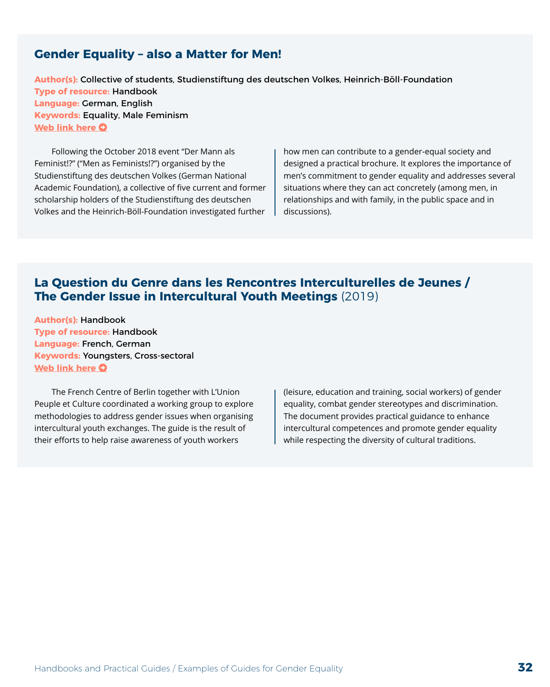#### <span id="page-31-0"></span>**Gender Equality – also a Matter for Men!**

**Author(s):** Collective of students, Studienstiftung des deutschen Volkes, Heinrich-Böll-Foundation **Type of resource:** Handbook **Language:** German, English **Keywords:** Equality, Male Feminism **[Web link here](https://zusammenfuergleichstellung.de/en/home/) O** 

Following the October 2018 event "Der Mann als Feminist!?" ("Men as Feminists!?") organised by the Studienstiftung des deutschen Volkes (German National Academic Foundation), a collective of five current and former scholarship holders of the Studienstiftung des deutschen Volkes and the Heinrich-Böll-Foundation investigated further

how men can contribute to a gender-equal society and designed a practical brochure. It explores the importance of men's commitment to gender equality and addresses several situations where they can act concretely (among men, in relationships and with family, in the public space and in discussions).

#### **La Question du Genre dans les Rencontres Interculturelles de Jeunes / The Gender Issue in Intercultural Youth Meetings** (2019)

**Author(s):** Handbook **Type of resource:** Handbook **Language:** French, German **Keywords:** Youngsters, Cross-sectoral **[Web link here](https://centre-francais.de/question-du-genre/) O** 

The French Centre of Berlin together with L'Union Peuple et Culture coordinated a working group to explore methodologies to address gender issues when organising intercultural youth exchanges. The guide is the result of their efforts to help raise awareness of youth workers

(leisure, education and training, social workers) of gender equality, combat gender stereotypes and discrimination. The document provides practical guidance to enhance intercultural competences and promote gender equality while respecting the diversity of cultural traditions.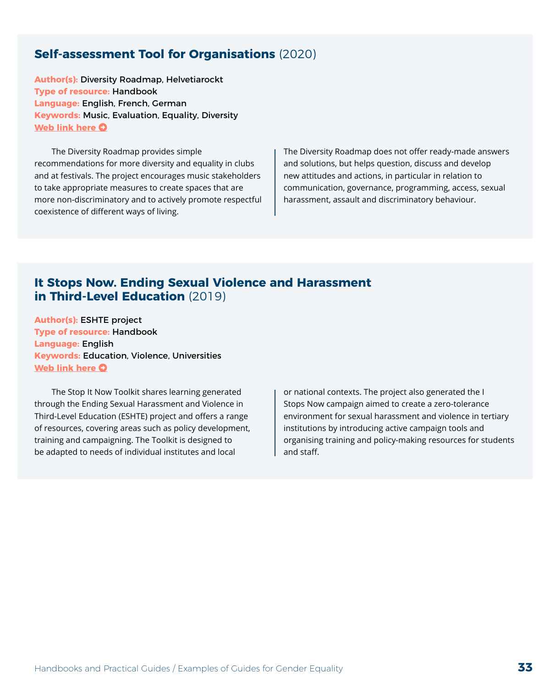#### <span id="page-32-0"></span>**Self-assessment Tool for Organisations** (2020)

**Author(s):** Diversity Roadmap, Helvetiarockt **Type of resource:** Handbook **Language:** English, French, German **Keywords:** Music, Evaluation, Equality, Diversity **[Web link here](https://diversityroadmap.org/fr/download/) O** 

The Diversity Roadmap provides simple recommendations for more diversity and equality in clubs and at festivals. The project encourages music stakeholders to take appropriate measures to create spaces that are more non-discriminatory and to actively promote respectful coexistence of different ways of living.

The Diversity Roadmap does not offer ready-made answers and solutions, but helps question, discuss and develop new attitudes and actions, in particular in relation to communication, governance, programming, access, sexual harassment, assault and discriminatory behaviour.

#### **It Stops Now. Ending Sexual Violence and Harassment in Third-Level Education** (2019)

**Author(s):** ESHTE project **Type of resource:** Handbook **Language:** English **Keywords:** Education, Violence, Universities **[Web link here](https://www.itstopsnow.org/sites/default/files/2019-03/It%20Stops%20Now%20Toolkit%20Web%20Version.pdf) O** 

The Stop It Now Toolkit shares learning generated through the Ending Sexual Harassment and Violence in Third-Level Education (ESHTE) project and offers a range of resources, covering areas such as policy development, training and campaigning. The Toolkit is designed to be adapted to needs of individual institutes and local

or national contexts. The project also generated the I Stops Now campaign aimed to create a zero-tolerance environment for sexual harassment and violence in tertiary institutions by introducing active campaign tools and organising training and policy-making resources for students and staff.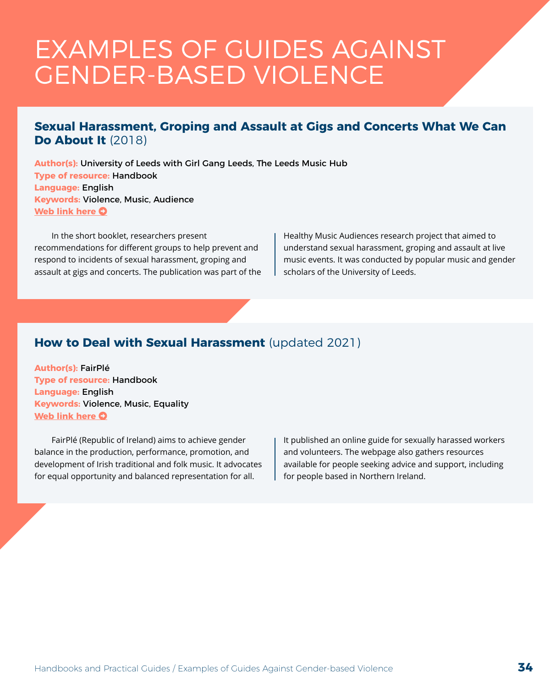## <span id="page-33-0"></span>EXAMPLES OF GUIDES AGAINST GENDER-BASED VIOLENCE

#### **Sexual Harassment, Groping and Assault at Gigs and Concerts What We Can Do About It** (2018)

**Author(s):** University of Leeds with Girl Gang Leeds, The Leeds Music Hub **Type of resource:** Handbook **Language:** English **Keywords:** Violence, Music, Audience **[Web link here](https://www.live-dma.eu/wp-content/uploads/2019/11/Sexual-violence-at-gigs-prevention-and-response-guidelines-20181123.pdf) O** 

In the short booklet, researchers present recommendations for different groups to help prevent and respond to incidents of sexual harassment, groping and assault at gigs and concerts. The publication was part of the Healthy Music Audiences research project that aimed to understand sexual harassment, groping and assault at live music events. It was conducted by popular music and gender scholars of the University of Leeds.

### **How to Deal with Sexual Harassment** (updated 2021)

**Author(s):** FairPlé **Type of resource:** Handbook **Language:** English **Keywords:** Violence, Music, Equality **[Web link here](https://www.fairple.com/sexual-harassment) O** 

FairPlé (Republic of Ireland) aims to achieve gender balance in the production, performance, promotion, and development of Irish traditional and folk music. It advocates for equal opportunity and balanced representation for all.

It published an online guide for sexually harassed workers and volunteers. The webpage also gathers resources available for people seeking advice and support, including for people based in Northern Ireland.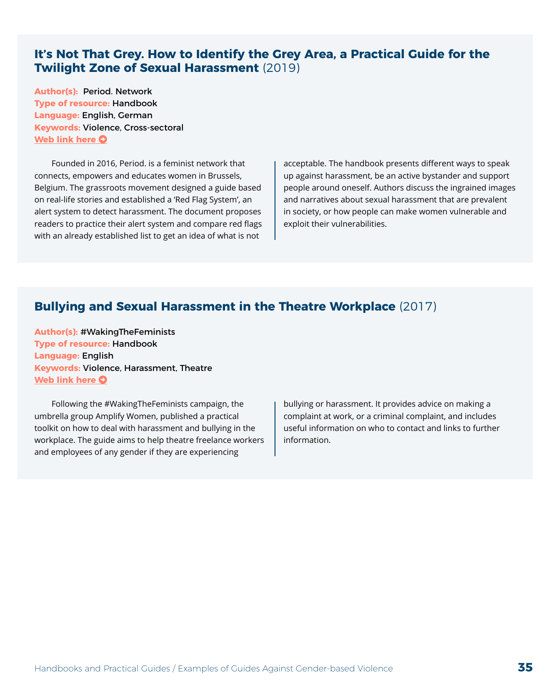#### <span id="page-34-0"></span>**It's Not That Grey. How to Identify the Grey Area, a Practical Guide for the Twilight Zone of Sexual Harassment** (2019)

**Author(s):** Period. Network **Type of resource:** Handbook **Language:** English, German **Keywords:** Violence, Cross-sectoral **[Web link here](https://periodbrussels.eu/guide/) O** 

Founded in 2016, Period. is a feminist network that connects, empowers and educates women in Brussels, Belgium. The grassroots movement designed a guide based on real-life stories and established a 'Red Flag System', an alert system to detect harassment. The document proposes readers to practice their alert system and compare red flags with an already established list to get an idea of what is not

acceptable. The handbook presents different ways to speak up against harassment, be an active bystander and support people around oneself. Authors discuss the ingrained images and narratives about sexual harassment that are prevalent in society, or how people can make women vulnerable and exploit their vulnerabilities.

#### **Bullying and Sexual Harassment in the Theatre Workplace** (2017)

**Author(s):** #WakingTheFeminists **Type of resource:** Handbook **Language:** English **Keywords:** Violence, Harassment, Theatre **[Web link here](http://www.wakingthefeminists.org/research/bullying-and-sexual-harassment-in-the-theatre-workplace/) O** 

Following the #WakingTheFeminists campaign, the umbrella group Amplify Women, published a practical toolkit on how to deal with harassment and bullying in the workplace. The guide aims to help theatre freelance workers and employees of any gender if they are experiencing

bullying or harassment. It provides advice on making a complaint at work, or a criminal complaint, and includes useful information on who to contact and links to further information.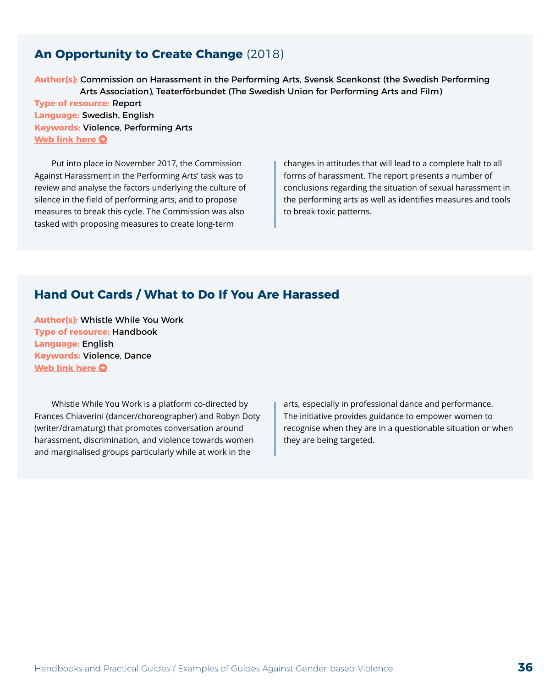#### <span id="page-35-0"></span>**An Opportunity to Create Change** (2018)

**Author(s):** Commission on Harassment in the Performing Arts, Svensk Scenkonst (the Swedish Performing Arts Association), Teaterförbundet (The Swedish Union for Performing Arts and Film) **Type of resource:** Report **Language:** Swedish, English **Keywords:** Violence, Performing Arts **[Web link here](https://scenochfilm.se/wp-content/uploads/2019/09/An_Opportunity_to_Create_Change_report-002.pdf) O** 

Put into place in November 2017, the Commission Against Harassment in the Performing Arts' task was to review and analyse the factors underlying the culture of silence in the field of performing arts, and to propose measures to break this cycle. The Commission was also tasked with proposing measures to create long-term

changes in attitudes that will lead to a complete halt to all forms of harassment. The report presents a number of conclusions regarding the situation of sexual harassment in the performing arts as well as identifies measures and tools to break toxic patterns.

#### **Hand Out Cards / What to Do If You Are Harassed**

**Author(s):** Whistle While You Work **Type of resource:** Handbook **Language:** English **Keywords:** Violence, Dance **[Web link here](https://drive.google.com/file/d/15jErl8UFCdoSXWn90bAFLntFRkvdFgOx/view) O** 

Whistle While You Work is a platform co-directed by Frances Chiaverini (dancer/choreographer) and Robyn Doty (writer/dramaturg) that promotes conversation around harassment, discrimination, and violence towards women and marginalised groups particularly while at work in the

arts, especially in professional dance and performance. The initiative provides guidance to empower women to recognise when they are in a questionable situation or when they are being targeted.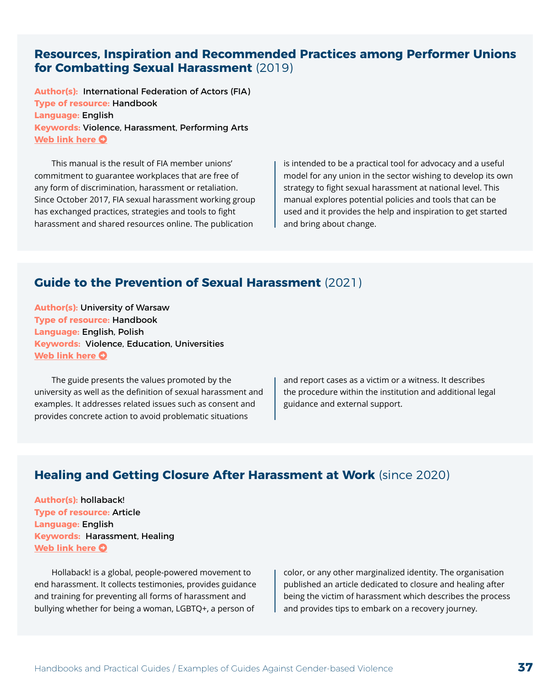#### <span id="page-36-0"></span>**Resources, Inspiration and Recommended Practices among Performer Unions for Combatting Sexual Harassment** (2019)

**Author(s):** International Federation of Actors (FIA) **Type of resource:** Handbook **Language:** English **Keywords:** Violence, Harassment, Performing Arts **[Web link here](https://fia-actors.com/resources/publications/fia-publications/fia-publications-details/article/fia-manual-on-combatting-sexual-harassment/) O** 

This manual is the result of FIA member unions' commitment to guarantee workplaces that are free of any form of discrimination, harassment or retaliation. Since October 2017, FIA sexual harassment working group has exchanged practices, strategies and tools to fight harassment and shared resources online. The publication

is intended to be a practical tool for advocacy and a useful model for any union in the sector wishing to develop its own strategy to fight sexual harassment at national level. This manual explores potential policies and tools that can be used and it provides the help and inspiration to get started and bring about change.

#### **Guide to the Prevention of Sexual Harassment** (2021)

**Author(s):** University of Warsaw **Type of resource:** Handbook **Language:** English, Polish **Keywords:** Violence, Education, Universities **[Web link here](http://en.rownowazni.uw.edu.pl/wp-content/uploads/2021/06/FIN_Guide-to-the-Prevention-of-Sexual-Harassment_elektro-1.pdf) O** 

The guide presents the values promoted by the university as well as the definition of sexual harassment and examples. It addresses related issues such as consent and provides concrete action to avoid problematic situations

and report cases as a victim or a witness. It describes the procedure within the institution and additional legal guidance and external support.

#### **Healing and Getting Closure After Harassment at Work** (since 2020)

**Author(s):** hollaback! **Type of resource:** Article **Language:** English **Keywords:** Harassment, Healing **[Web link here](https://www.ihollaback.org/healing-closure/) O** 

Hollaback! is a global, people-powered movement to end harassment. It collects testimonies, provides guidance and training for preventing all forms of harassment and bullying whether for being a woman, LGBTQ+, a person of

color, or any other marginalized identity. The organisation published an article dedicated to closure and healing after being the victim of harassment which describes the process and provides tips to embark on a recovery journey.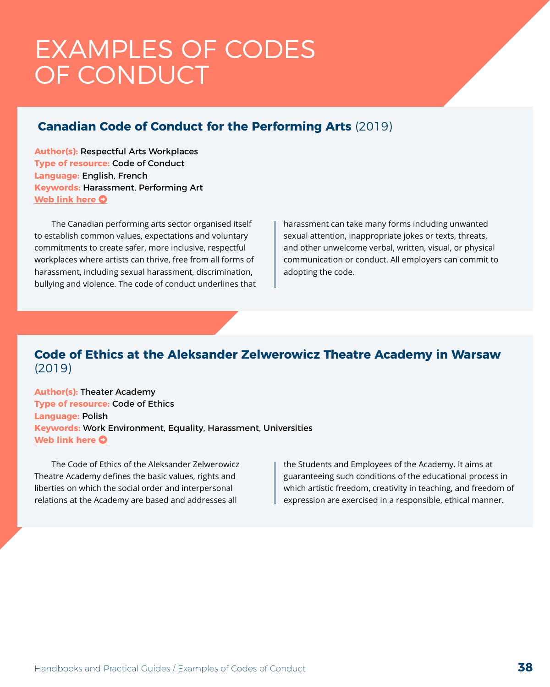## <span id="page-37-0"></span>EXAMPLES OF CODES OF CONDUCT

### **Canadian Code of Conduct for the Performing Arts** (2019)

**Author(s):** Respectful Arts Workplaces **Type of resource:** Code of Conduct **Language:** English, French **Keywords:** Harassment, Performing Art **[Web link here](http://respectfulartsworkplaces.ca/code-of-conduct) O** 

The Canadian performing arts sector organised itself to establish common values, expectations and voluntary commitments to create safer, more inclusive, respectful workplaces where artists can thrive, free from all forms of harassment, including sexual harassment, discrimination, bullying and violence. The code of conduct underlines that harassment can take many forms including unwanted sexual attention, inappropriate jokes or texts, threats, and other unwelcome verbal, written, visual, or physical communication or conduct. All employers can commit to adopting the code.

#### **Code of Ethics at the Aleksander Zelwerowicz Theatre Academy in Warsaw** (2019)

**Author(s):** Theater Academy **Type of resource:** Code of Ethics **Language:** Polish **Keywords:** Work Environment, Equality, Harassment, Universities **[Web link here](http://akademia.at.edu.pl/wp-content/uploads/sites/4/2019/07/kodeks-etyki-uchwalony-25.03.2019.pdf) O** 

The Code of Ethics of the Aleksander Zelwerowicz Theatre Academy defines the basic values, rights and liberties on which the social order and interpersonal relations at the Academy are based and addresses all

the Students and Employees of the Academy. It aims at guaranteeing such conditions of the educational process in which artistic freedom, creativity in teaching, and freedom of expression are exercised in a responsible, ethical manner.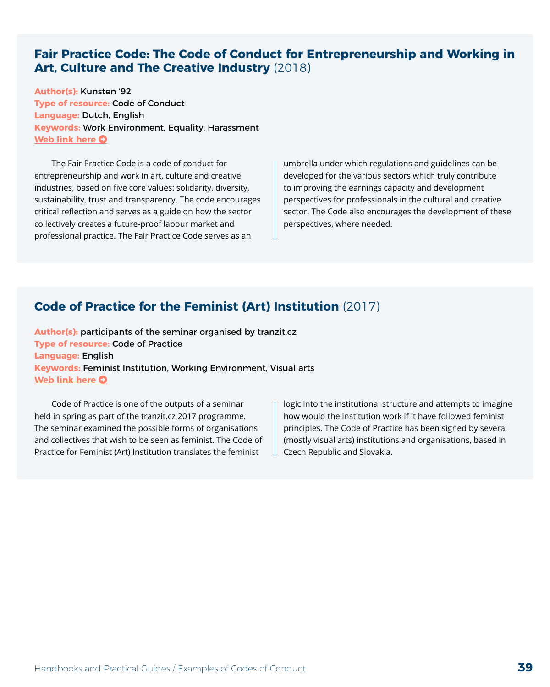#### <span id="page-38-0"></span>**Fair Practice Code: The Code of Conduct for Entrepreneurship and Working in Art, Culture and The Creative Industry** (2018)

**Author(s):** Kunsten '92 **Type of resource:** Code of Conduct **Language:** Dutch, English **Keywords:** Work Environment, Equality, Harassment **[Web link here](https://fairpracticecode.nl/nl/aan-de-slag/fair-practice-code-english-version) O** 

The Fair Practice Code is a code of conduct for entrepreneurship and work in art, culture and creative industries, based on five core values: solidarity, diversity, sustainability, trust and transparency. The code encourages critical reflection and serves as a guide on how the sector collectively creates a future-proof labour market and professional practice. The Fair Practice Code serves as an

umbrella under which regulations and guidelines can be developed for the various sectors which truly contribute to improving the earnings capacity and development perspectives for professionals in the cultural and creative sector. The Code also encourages the development of these perspectives, where needed.

#### **Code of Practice for the Feminist (Art) Institution** (2017)

**Author(s):** participants of the seminar organised by tranzit.cz **Type of resource:** Code of Practice **Language:** English **Keywords:** Feminist Institution, Working Environment, Visual arts **[Web link here](http://feministinstitution.org/code-of-practice/) O** 

Code of Practice is one of the outputs of a seminar held in spring as part of the tranzit.cz 2017 programme. The seminar examined the possible forms of organisations and collectives that wish to be seen as feminist. The Code of Practice for Feminist (Art) Institution translates the feminist

logic into the institutional structure and attempts to imagine how would the institution work if it have followed feminist principles. The Code of Practice has been signed by several (mostly visual arts) institutions and organisations, based in Czech Republic and Slovakia.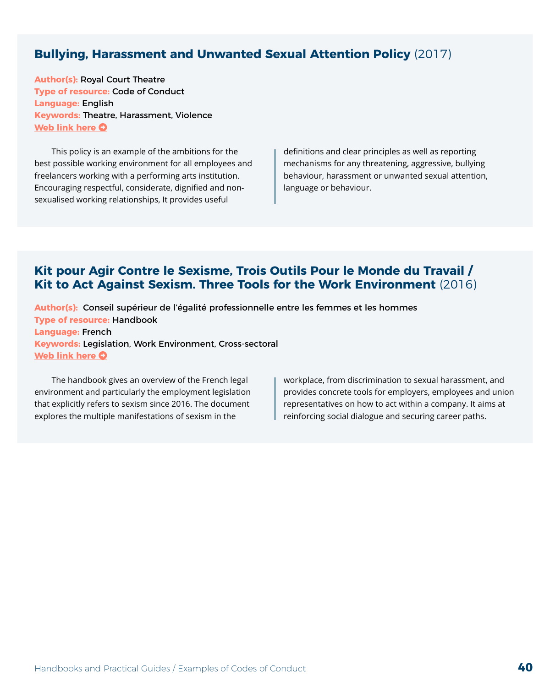#### <span id="page-39-0"></span>**Bullying, Harassment and Unwanted Sexual Attention Policy** (2017)

**Author(s):** Royal Court Theatre **Type of resource:** Code of Conduct **Language:** English **Keywords:** Theatre, Harassment, Violence **[Web link here](https://royalcourttheatre.com/bullying-harassment-unwanted-sexual-attention-policy/) O** 

This policy is an example of the ambitions for the best possible working environment for all employees and freelancers working with a performing arts institution. Encouraging respectful, considerate, dignified and nonsexualised working relationships, It provides useful

definitions and clear principles as well as reporting mechanisms for any threatening, aggressive, bullying behaviour, harassment or unwanted sexual attention, language or behaviour.

#### **Kit pour Agir Contre le Sexisme, Trois Outils Pour le Monde du Travail / Kit to Act Against Sexism. Three Tools for the Work Environment** (2016)

**Author(s):** Conseil supérieur de l'égalité professionnelle entre les femmes et les hommes **Type of resource:** Handbook **Language:** French **Keywords:** Legislation, Work Environment, Cross-sectoral **[Web link here](https://travail-emploi.gouv.fr/IMG/pdf/kit-sexisme.pdf) O** 

The handbook gives an overview of the French legal environment and particularly the employment legislation that explicitly refers to sexism since 2016. The document explores the multiple manifestations of sexism in the

workplace, from discrimination to sexual harassment, and provides concrete tools for employers, employees and union representatives on how to act within a company. It aims at reinforcing social dialogue and securing career paths.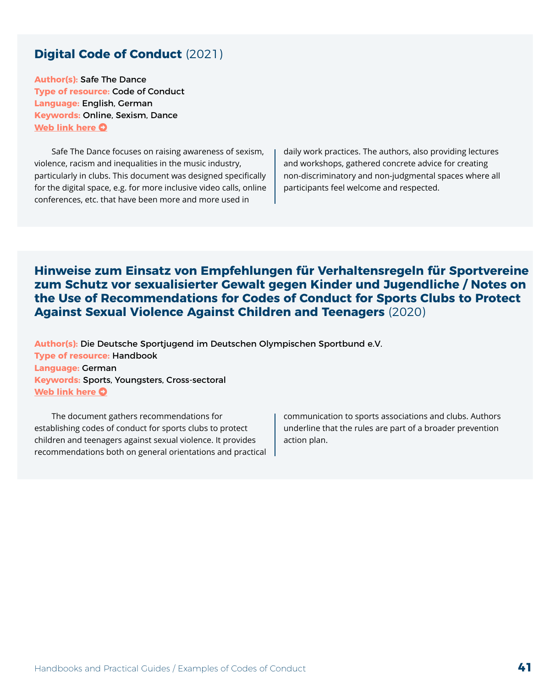#### <span id="page-40-0"></span>**Digital Code of Conduct** (2021)

**Author(s):** Safe The Dance **Type of resource:** Code of Conduct **Language:** English, German **Keywords:** Online, Sexism, Dance **[Web link here](http://safethedance.de/digital-code-of-conduct/) O** 

Safe The Dance focuses on raising awareness of sexism, violence, racism and inequalities in the music industry, particularly in clubs. This document was designed specifically for the digital space, e.g. for more inclusive video calls, online conferences, etc. that have been more and more used in

daily work practices. The authors, also providing lectures and workshops, gathered concrete advice for creating non-discriminatory and non-judgmental spaces where all participants feel welcome and respected.

**Hinweise zum Einsatz von Empfehlungen für Verhaltensregeln für Sportvereine zum Schutz vor sexualisierter Gewalt gegen Kinder und Jugendliche / Notes on the Use of Recommendations for Codes of Conduct for Sports Clubs to Protect Against Sexual Violence Against Children and Teenagers** (2020)

**Author(s):** Die Deutsche Sportjugend im Deutschen Olympischen Sportbund e.V. **Type of resource:** Handbook **Language:** German **Keywords:** Sports, Youngsters, Cross-sectoral **[Web link here](https://cdn.dosb.de/user_upload/SafeSport/Dateien/2020/Empfehlungen_fuer_Verhaltensregeln.pdf) O** 

The document gathers recommendations for establishing codes of conduct for sports clubs to protect children and teenagers against sexual violence. It provides recommendations both on general orientations and practical communication to sports associations and clubs. Authors underline that the rules are part of a broader prevention action plan.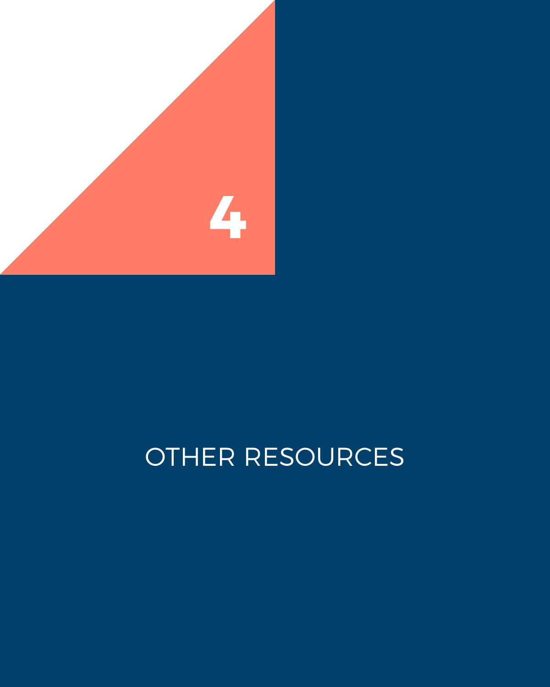<span id="page-41-0"></span>

# OTHER RESOURCES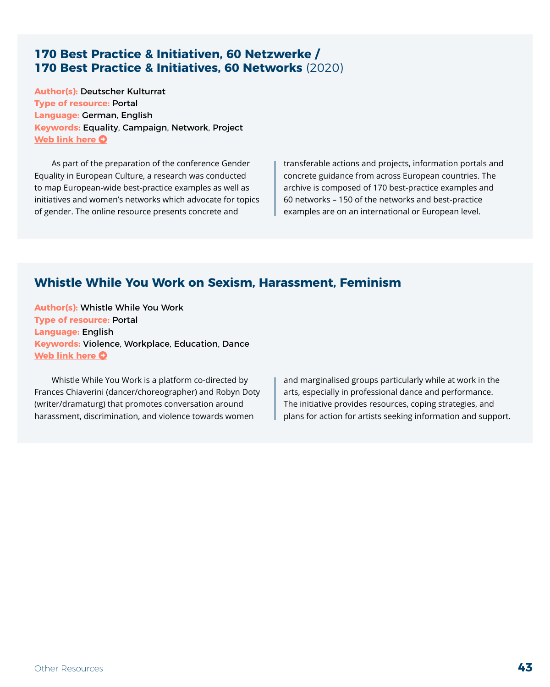#### <span id="page-42-0"></span>**170 Best Practice & Initiativen, 60 Netzwerke / 170 Best Practice & Initiatives, 60 Networks** (2020)

**Author(s):** Deutscher Kulturrat **Type of resource:** Portal **Language:** German, English **Keywords:** Equality, Campaign, Network, Project **[Web link here](https://kulturrat-eukonferenz-geschlechtergerechtigkeit.de/sponsor/research/) O** 

As part of the preparation of the conference Gender Equality in European Culture, a research was conducted to map European-wide best-practice examples as well as initiatives and women's networks which advocate for topics of gender. The online resource presents concrete and

transferable actions and projects, information portals and concrete guidance from across European countries. The archive is composed of 170 best-practice examples and 60 networks – 150 of the networks and best-practice examples are on an international or European level.

### **Whistle While You Work on Sexism, Harassment, Feminism**

**Author(s):** Whistle While You Work **Type of resource:** Portal **Language:** English **Keywords:** Violence, Workplace, Education, Dance **[Web link here](https://docs.google.com/document/d/1BzuGiTN-dWq1ucxzYuLCl0LJqC8lShODoRdFUdg9IvI/edit) O** 

Whistle While You Work is a platform co-directed by Frances Chiaverini (dancer/choreographer) and Robyn Doty (writer/dramaturg) that promotes conversation around harassment, discrimination, and violence towards women

and marginalised groups particularly while at work in the arts, especially in professional dance and performance. The initiative provides resources, coping strategies, and plans for action for artists seeking information and support.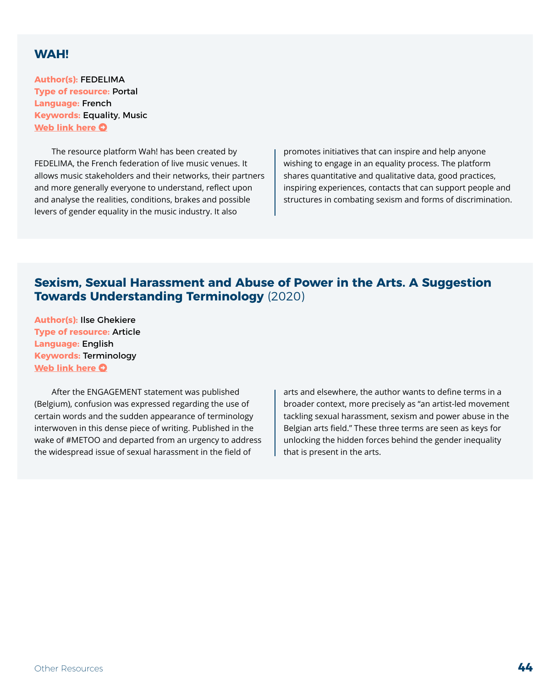#### <span id="page-43-0"></span>**WAH!**

**Author(s):** FEDELIMA **Type of resource:** Portal **Language:** French **Keywords:** Equality, Music **[Web link here](https://www.wah-egalite.org/) O** 

The resource platform Wah! has been created by FEDELIMA, the French federation of live music venues. It allows music stakeholders and their networks, their partners and more generally everyone to understand, reflect upon and analyse the realities, conditions, brakes and possible levers of gender equality in the music industry. It also

promotes initiatives that can inspire and help anyone wishing to engage in an equality process. The platform shares quantitative and qualitative data, good practices, inspiring experiences, contacts that can support people and structures in combating sexism and forms of discrimination.

#### **Sexism, Sexual Harassment and Abuse of Power in the Arts. A Suggestion Towards Understanding Terminology** (2020)

**Author(s):** Ilse Ghekiere **Type of resource:** Article **Language:** English **Keywords:** Terminology **[Web link here](https://www.kunsten.be/nu-in-de-kunsten/sexism-sexual-harassment-and-abuse-of-power-in-the-arts-a-suggestion-towards-understanding-terminology/) O** 

After the ENGAGEMENT statement was published (Belgium), confusion was expressed regarding the use of certain words and the sudden appearance of terminology interwoven in this dense piece of writing. Published in the wake of #METOO and departed from an urgency to address the widespread issue of sexual harassment in the field of

arts and elsewhere, the author wants to define terms in a broader context, more precisely as "an artist-led movement tackling sexual harassment, sexism and power abuse in the Belgian arts field." These three terms are seen as keys for unlocking the hidden forces behind the gender inequality that is present in the arts.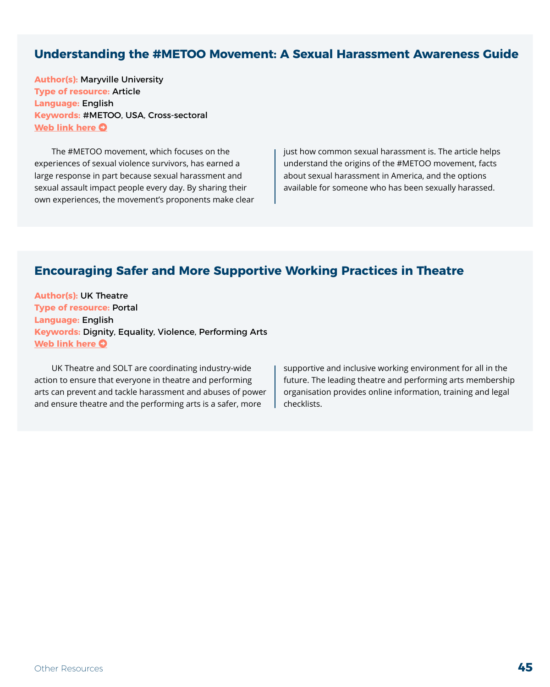#### <span id="page-44-0"></span>**Understanding the #METOO Movement: A Sexual Harassment Awareness Guide**

**Author(s):** Maryville University **Type of resource:** Article **Language:** English **Keywords:** #METOO, USA, Cross-sectoral **[Web link here](https://online.maryville.edu/blog/understanding-the-me-too-movement-a-sexual-harassment-awareness-guide/) O** 

The #METOO movement, which focuses on the experiences of sexual violence survivors, has earned a large response in part because sexual harassment and sexual assault impact people every day. By sharing their own experiences, the movement's proponents make clear just how common sexual harassment is. The article helps understand the origins of the #METOO movement, facts about sexual harassment in America, and the options available for someone who has been sexually harassed.

#### **Encouraging Safer and More Supportive Working Practices in Theatre**

**Author(s):** UK Theatre **Type of resource:** Portal **Language:** English **Keywords:** Dignity, Equality, Violence, Performing Arts **[Web link here](https://uktheatre.org/theatre-industry/guidance-reports-and-resources/safe-and-supportive-working-practices/) O** 

UK Theatre and SOLT are coordinating industry-wide action to ensure that everyone in theatre and performing arts can prevent and tackle harassment and abuses of power and ensure theatre and the performing arts is a safer, more

supportive and inclusive working environment for all in the future. The leading theatre and performing arts membership organisation provides online information, training and legal checklists.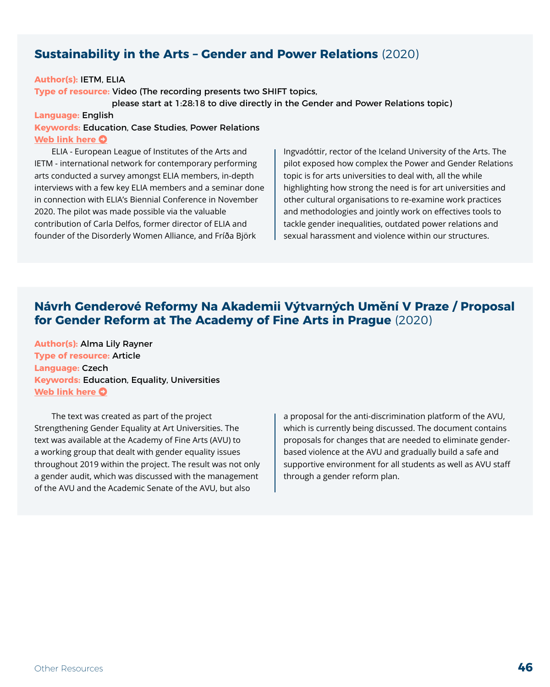#### <span id="page-45-0"></span>**Sustainability in the Arts – Gender and Power Relations** (2020)

#### **Author(s):** IETM, ELIA

**Type of resource:** Video (The recording presents two SHIFT topics,

please start at 1:28:18 to dive directly in the Gender and Power Relations topic)

#### **Language:** English

#### **Keywords:** Education, Case Studies, Power Relations **[Web link here](https://vimeo.com/480482440/f92e0ac66d) O**

ELIA - European League of Institutes of the Arts and IETM - international network for contemporary performing arts conducted a survey amongst ELIA members, in-depth interviews with a few key ELIA members and a seminar done in connection with ELIA's Biennial Conference in November 2020. The pilot was made possible via the valuable contribution of Carla Delfos, former director of ELIA and founder of the Disorderly Women Alliance, and Fríða Björk

Ingvadóttir, rector of the Iceland University of the Arts. The pilot exposed how complex the Power and Gender Relations topic is for arts universities to deal with, all the while highlighting how strong the need is for art universities and other cultural organisations to re-examine work practices and methodologies and jointly work on effectives tools to tackle gender inequalities, outdated power relations and sexual harassment and violence within our structures.

#### **Návrh Genderové Reformy Na Akademii Výtvarných Umění V Praze / Proposal for Gender Reform at The Academy of Fine Arts in Prague** (2020)

**Author(s):** Alma Lily Rayner **Type of resource:** Article **Language:** Czech **Keywords:** Education, Equality, Universities **[Web link here](https://www.advojka.cz/archiv/2020/22/navrh-genderove-reformy-na-akademii-vytvarnych-umeni-v-praze) O** 

The text was created as part of the project Strengthening Gender Equality at Art Universities. The text was available at the Academy of Fine Arts (AVU) to a working group that dealt with gender equality issues throughout 2019 within the project. The result was not only a gender audit, which was discussed with the management of the AVU and the Academic Senate of the AVU, but also

a proposal for the anti-discrimination platform of the AVU, which is currently being discussed. The document contains proposals for changes that are needed to eliminate genderbased violence at the AVU and gradually build a safe and supportive environment for all students as well as AVU staff through a gender reform plan.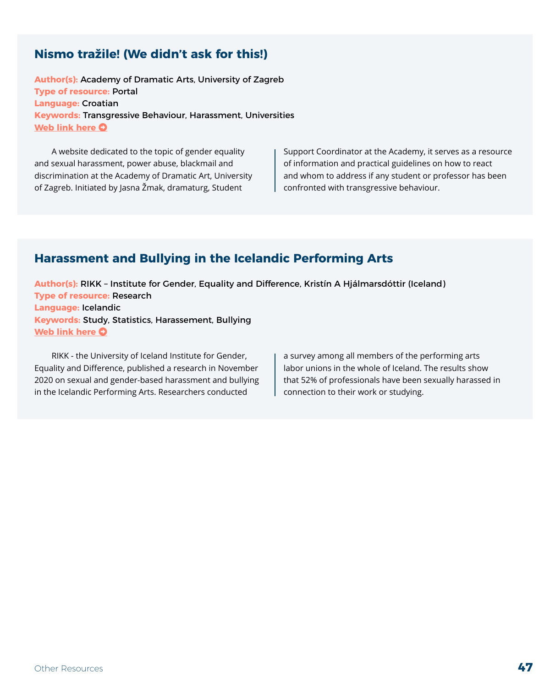### <span id="page-46-0"></span>**Nismo tražile! (We didn't ask for this!)**

**Author(s):** Academy of Dramatic Arts, University of Zagreb **Type of resource:** Portal **Language:** Croatian **Keywords:** Transgressive Behaviour, Harassment, Universities **[Web link here](https://nismotrazile.adu.hr) O** 

A website dedicated to the topic of gender equality and sexual harassment, power abuse, blackmail and discrimination at the Academy of Dramatic Art, University of Zagreb. Initiated by Jasna Žmak, dramaturg, Student

Support Coordinator at the Academy, it serves as a resource of information and practical guidelines on how to react and whom to address if any student or professor has been confronted with transgressive behaviour.

### **Harassment and Bullying in the Icelandic Performing Arts**

**Author(s):** RIKK – Institute for Gender, Equality and Difference, Kristín A Hjálmarsdóttir (Iceland) **Type of resource:** Research **Language:** Icelandic **Keywords:** Study, Statistics, Harassement, Bullying **[Web link here](https://rikk.hi.is/wp-content/uploads/Einelti-og-areitni-i-starfsumhverfi-svidslista-RIKK-Rannsoknastofnun-i-jafnrettisfraedum.pdf?fbclid=IwAR3TxAGBAWbsCs0FF3ay-EPqrvrtV8QesRMD5nA2nKxeZ-7L3XN35Yu3-_o) O** 

RIKK - the University of Iceland Institute for Gender, Equality and Difference, published a research in November 2020 on sexual and gender-based harassment and bullying in the Icelandic Performing Arts. Researchers conducted

a survey among all members of the performing arts labor unions in the whole of Iceland. The results show that 52% of professionals have been sexually harassed in connection to their work or studying.